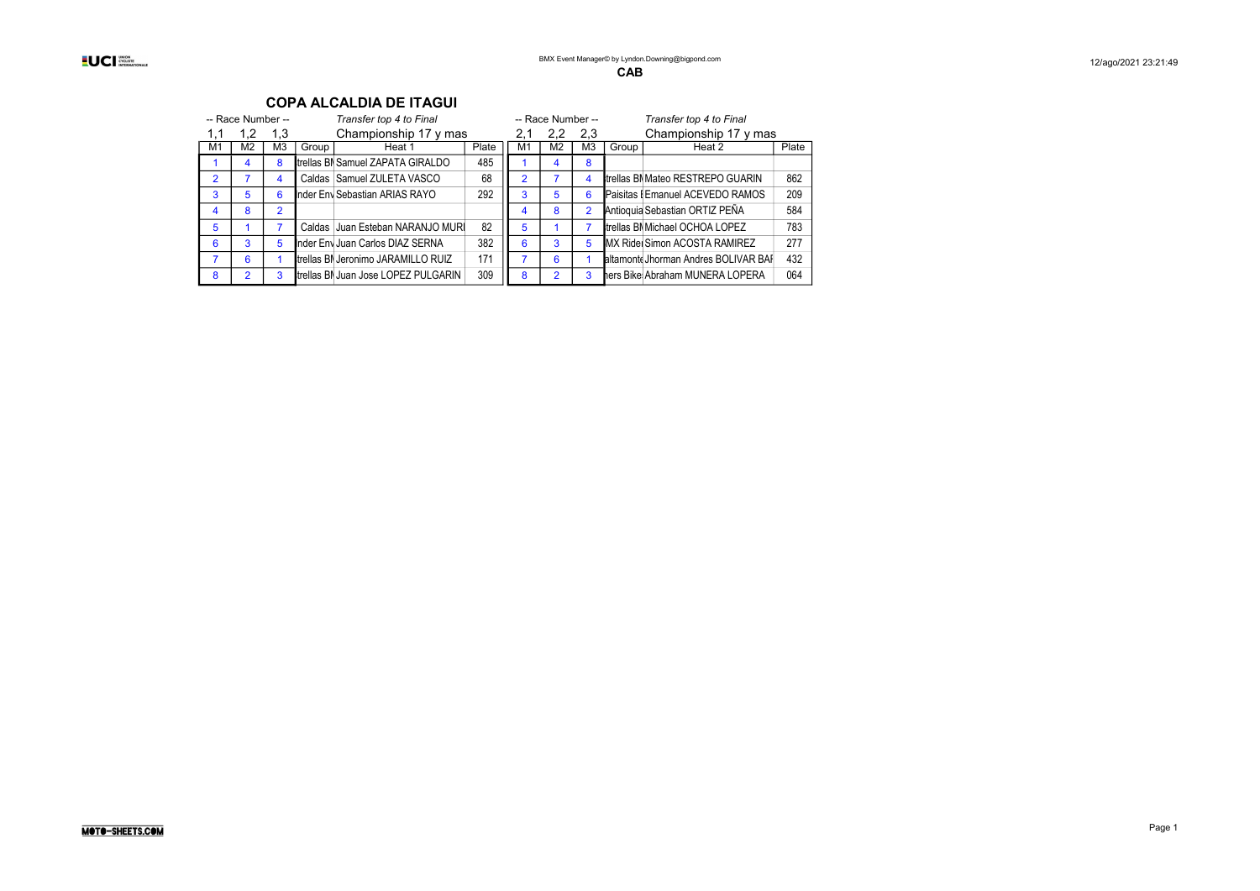|                | -- Race Number -- |     |       | Transfer top 4 to Final             |       |               | -- Race Number -- |                |       | Transfer top 4 to Final                  |       |
|----------------|-------------------|-----|-------|-------------------------------------|-------|---------------|-------------------|----------------|-------|------------------------------------------|-------|
|                | 1.2               | 1,3 |       | Championship 17 y mas               |       | 2,1           | $2.2^{\circ}$     | 2,3            |       | Championship 17 y mas                    |       |
| M1             | M2                | M3  | Group | Heat 1                              | Plate | M1            | M2                | M3             | Group | Heat 2                                   | Plate |
|                | 4                 | 8   |       | trellas BI Samuel ZAPATA GIRALDO    | 485   |               |                   | 8              |       |                                          |       |
| $\overline{2}$ |                   | 4   |       | Caldas Samuel ZULETA VASCO          | 68    | $\mathcal{P}$ |                   | 4              |       | <b>Itrellas BN Mateo RESTREPO GUARIN</b> | 862   |
| 3              | 5                 | 6   |       | Inder Env Sebastian ARIAS RAYO      | 292   | 3             | 5                 | 6              |       | Paisitas I Emanuel ACEVEDO RAMOS         | 209   |
| 4              | 8                 | 2   |       |                                     |       | 4             | 8                 | $\overline{2}$ |       | Antioquia Sebastian ORTIZ PEÑA           | 584   |
| 5              |                   |     |       | Caldas Juan Esteban NARANJO MUR     | 82    | 5             |                   |                |       | trellas BN Michael OCHOA LOPEZ           | 783   |
| 6              | 3                 | 5   |       | Inder Env Juan Carlos DIAZ SERNA    | 382   | 6             | 3                 | 5              |       | <b>MX Ridel Simon ACOSTA RAMIREZ</b>     | 277   |
|                | 6                 |     |       | trellas BN Jeronimo JARAMILLO RUIZ  | 171   |               | 6                 |                |       | altamont Jhorman Andres BOLIVAR BAF      | 432   |
| 8              | $\overline{2}$    | 3   |       | trellas BI Juan Jose LOPEZ PULGARIN | 309   | 8             | 2                 | 3              |       | hers Bike Abraham MUNERA LOPERA          | 064   |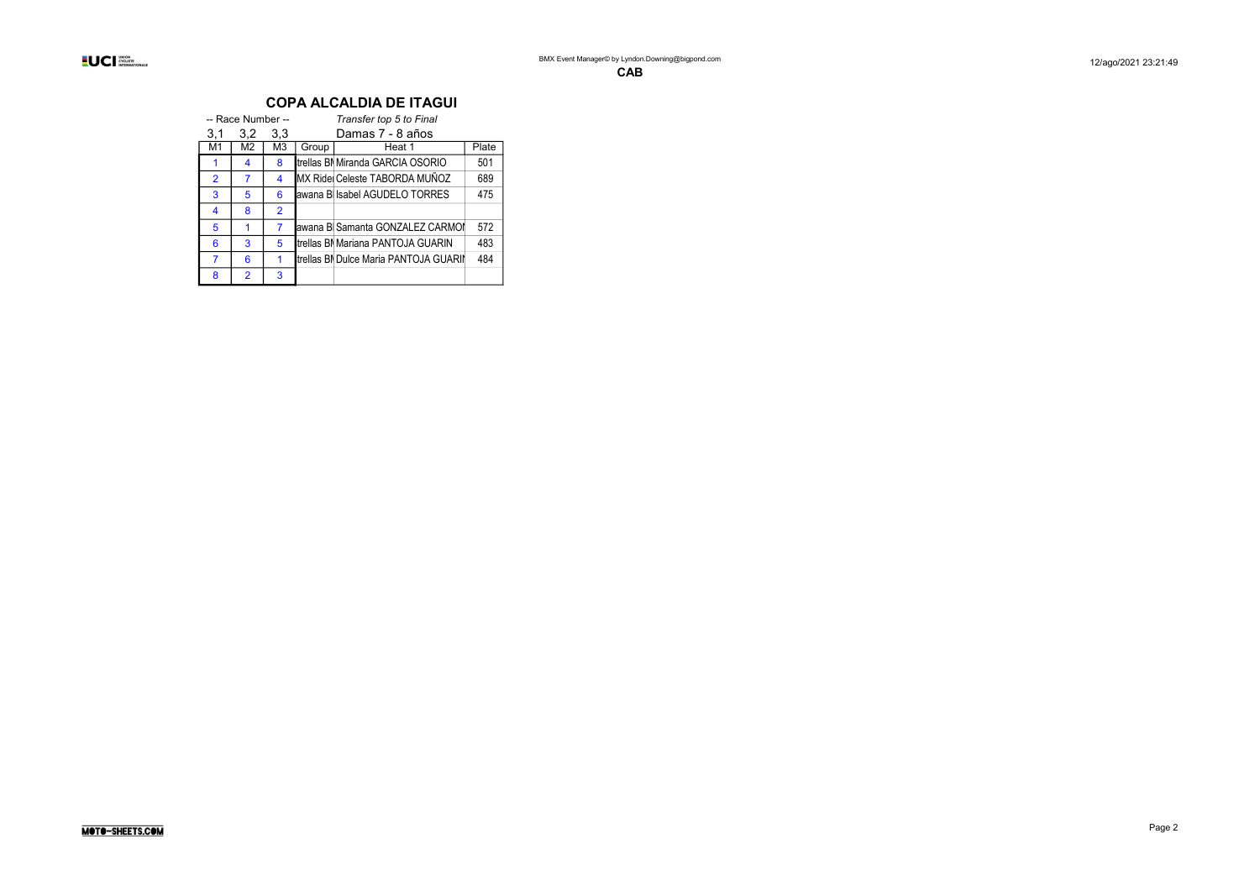|                | -- Race Number -- |                |       | Transfer top 5 to Final               |       |  |  |  |  |  |  |  |
|----------------|-------------------|----------------|-------|---------------------------------------|-------|--|--|--|--|--|--|--|
| 3,1            | 3,2               | 3,3            |       | Damas 7 - 8 años                      |       |  |  |  |  |  |  |  |
| M1             | M2                | M3             | Group | Heat 1                                | Plate |  |  |  |  |  |  |  |
|                | 4                 | 8              |       | trellas Bl Miranda GARCIA OSORIO      | 501   |  |  |  |  |  |  |  |
| $\overline{2}$ | 7                 | 4              |       | MX Ride Celeste TABORDA MUÑOZ         | 689   |  |  |  |  |  |  |  |
| 3              | 5                 | 6              |       | awana B Isabel AGUDELO TORRES         | 475   |  |  |  |  |  |  |  |
| 4              | 8                 | $\overline{2}$ |       |                                       |       |  |  |  |  |  |  |  |
| 5              |                   | 7              |       | awana B Samanta GONZALEZ CARMOI       | 572   |  |  |  |  |  |  |  |
| 6              | 3                 | 5              |       | trellas BI Mariana PANTOJA GUARIN     | 483   |  |  |  |  |  |  |  |
| 7              | 6                 | 1              |       | trellas BI Dulce Maria PANTOJA GUARII | 484   |  |  |  |  |  |  |  |
| 8              | $\overline{2}$    | 3              |       |                                       |       |  |  |  |  |  |  |  |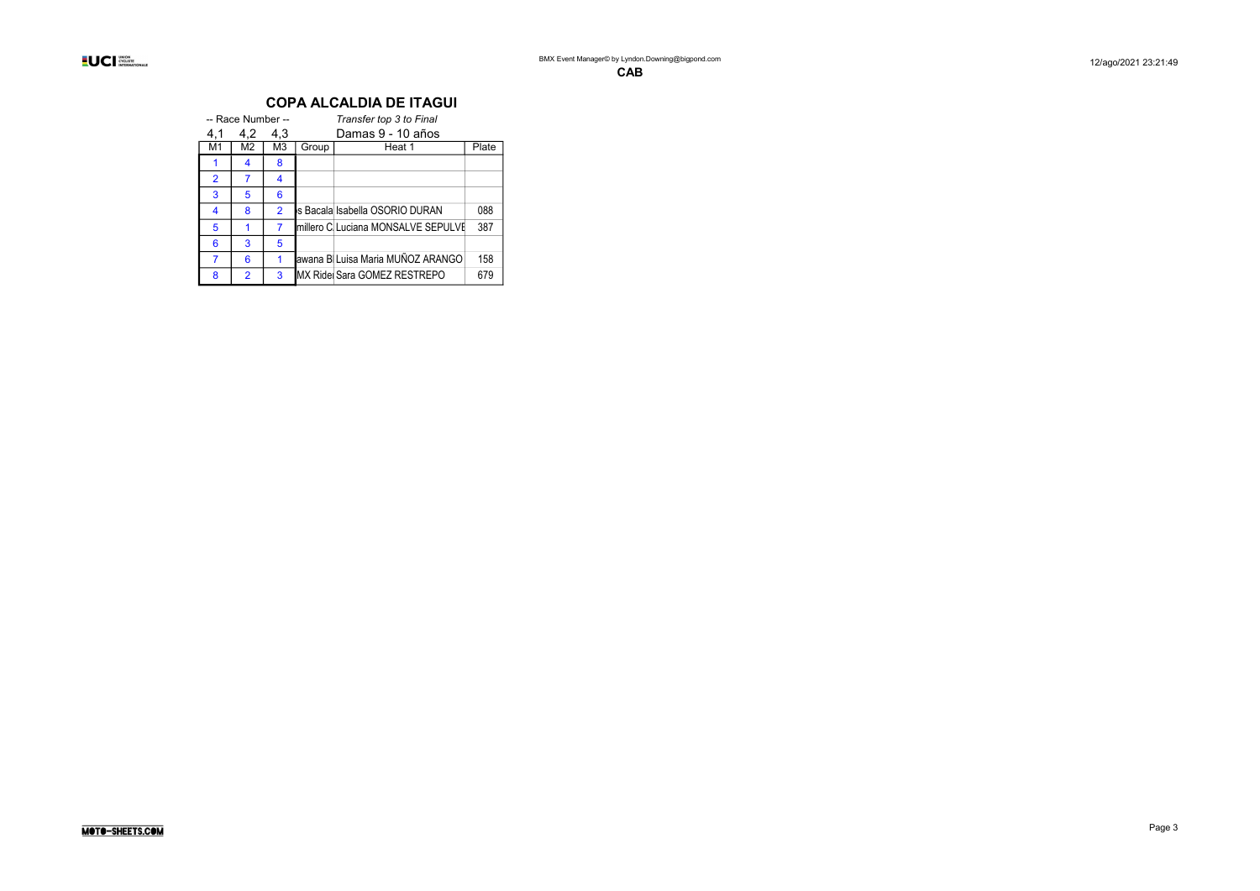|                | -- Race Number -- |                |       | Transfer top 3 to Final            |       |  |  |  |  |  |  |  |  |
|----------------|-------------------|----------------|-------|------------------------------------|-------|--|--|--|--|--|--|--|--|
| 4,1            | 4.2               | 4.3            |       | Damas 9 - 10 años                  |       |  |  |  |  |  |  |  |  |
| M1             | M2                | M3             | Group | Heat 1                             | Plate |  |  |  |  |  |  |  |  |
|                | 4                 | 8              |       |                                    |       |  |  |  |  |  |  |  |  |
| $\overline{2}$ | 7                 | 4              |       |                                    |       |  |  |  |  |  |  |  |  |
| 3              | 5                 | 6              |       |                                    |       |  |  |  |  |  |  |  |  |
| 4              | 8                 | $\overline{2}$ |       | ls Bacala Isabella OSORIO DURAN    | 088   |  |  |  |  |  |  |  |  |
| 5              |                   | 7              |       | millero C Luciana MONSALVE SEPULVI | 387   |  |  |  |  |  |  |  |  |
| 6              | 3                 | 5              |       |                                    |       |  |  |  |  |  |  |  |  |
|                | 6                 | 1              |       | awana B∥Luisa Maria MUÑOZ ARANGO   | 158   |  |  |  |  |  |  |  |  |
| 8              | $\overline{2}$    | 3              |       | IMX Ridei Sara GOMEZ RESTREPO      | 679   |  |  |  |  |  |  |  |  |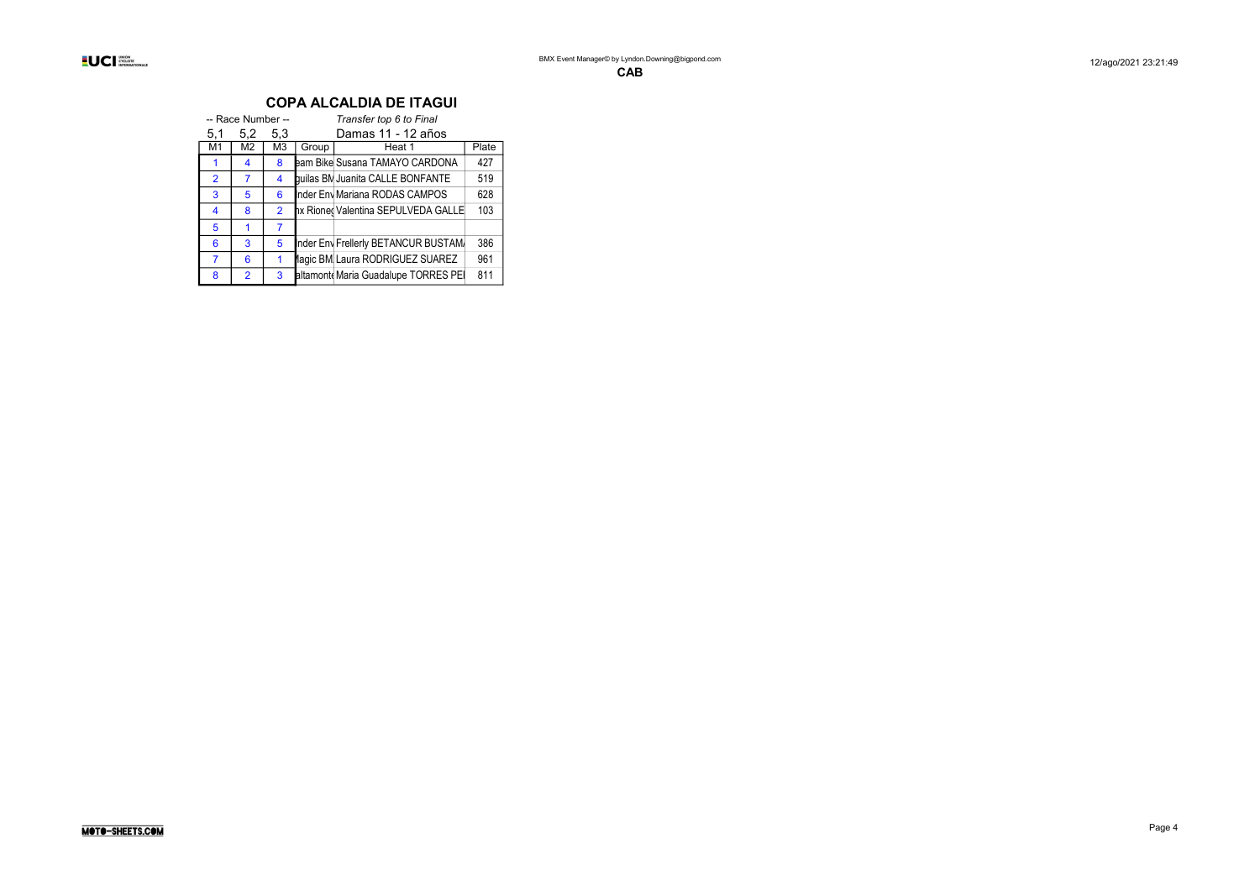|                | -- Race Number -- |                |       | Transfer top 6 to Final              |       |  |  |  |  |  |  |  |
|----------------|-------------------|----------------|-------|--------------------------------------|-------|--|--|--|--|--|--|--|
| 5,1            | 5,2               | 5.3            |       | Damas 11 - 12 años                   |       |  |  |  |  |  |  |  |
| M1             | M2                | M3             | Group | Heat 1                               | Plate |  |  |  |  |  |  |  |
|                | 4                 | 8              |       | eam Bike Susana TAMAYO CARDONA       | 427   |  |  |  |  |  |  |  |
| $\overline{2}$ | 7                 | 4              |       | quilas BM Juanita CALLE BONFANTE     | 519   |  |  |  |  |  |  |  |
| 3              | 5                 | 6              |       | Inder Env Mariana RODAS CAMPOS       | 628   |  |  |  |  |  |  |  |
| 4              | 8                 | $\mathfrak{p}$ |       | hx Rioned Valentina SEPULVEDA GALLE  | 103   |  |  |  |  |  |  |  |
| 5              |                   | 7              |       |                                      |       |  |  |  |  |  |  |  |
| 6              | 3                 | 5              |       | Inder Env Frellerly BETANCUR BUSTAM. | 386   |  |  |  |  |  |  |  |
| 7              | 6                 |                |       | lagic BM Laura RODRIGUEZ SUAREZ      | 961   |  |  |  |  |  |  |  |
| 8              | $\overline{2}$    | 3              |       | altamont Maria Guadalupe TORRES PEI  | 811   |  |  |  |  |  |  |  |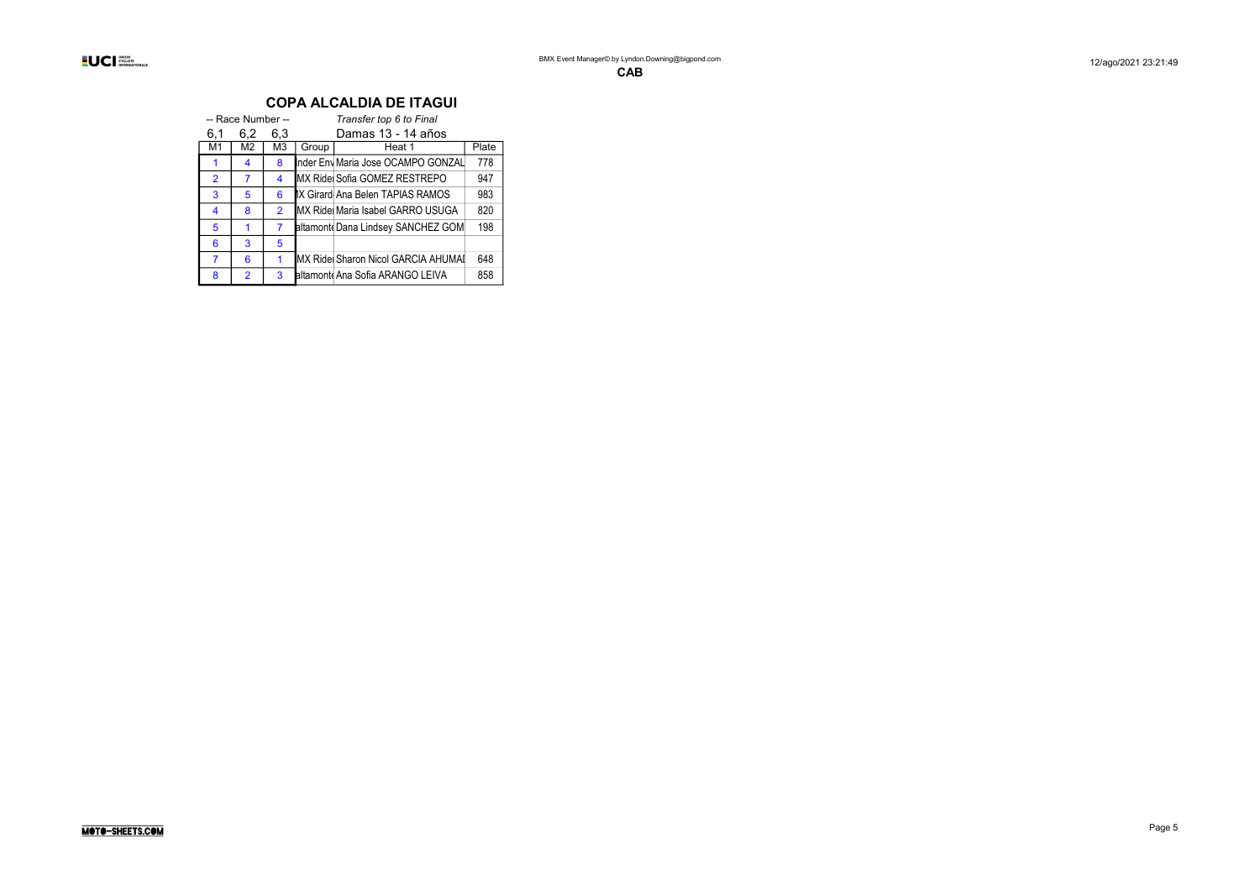|                | -- Race Number -- |                |       | Transfer top 6 to Final            |       |  |  |  |  |  |  |  |
|----------------|-------------------|----------------|-------|------------------------------------|-------|--|--|--|--|--|--|--|
| 6,1            | 6,2               | 6.3            |       | Damas 13 - 14 años                 |       |  |  |  |  |  |  |  |
| M1             | M2                | M <sub>3</sub> | Group | Heat 1                             | Plate |  |  |  |  |  |  |  |
| 1              | 4                 | 8              |       | Inder Env Maria Jose OCAMPO GONZAL | 778   |  |  |  |  |  |  |  |
| $\overline{2}$ | 7                 | 4              |       | MX Ride Sofia GOMEZ RESTREPO       | 947   |  |  |  |  |  |  |  |
| 3              | 5                 | 6              |       | IX Girard Ana Belen TAPIAS RAMOS   | 983   |  |  |  |  |  |  |  |
| 4              | 8                 | $\overline{2}$ |       | MX Ridel Maria Isabel GARRO USUGA  | 820   |  |  |  |  |  |  |  |
| 5              |                   | 7              |       | altamont Dana Lindsey SANCHEZ GOM  | 198   |  |  |  |  |  |  |  |
| 6              | 3                 | 5              |       |                                    |       |  |  |  |  |  |  |  |
| 7              | 6                 | 1              |       | MX Ride Sharon Nicol GARCIA AHUMAI | 648   |  |  |  |  |  |  |  |
| 8              | $\overline{2}$    | 3              |       | altamont Ana Sofia ARANGO LEIVA    | 858   |  |  |  |  |  |  |  |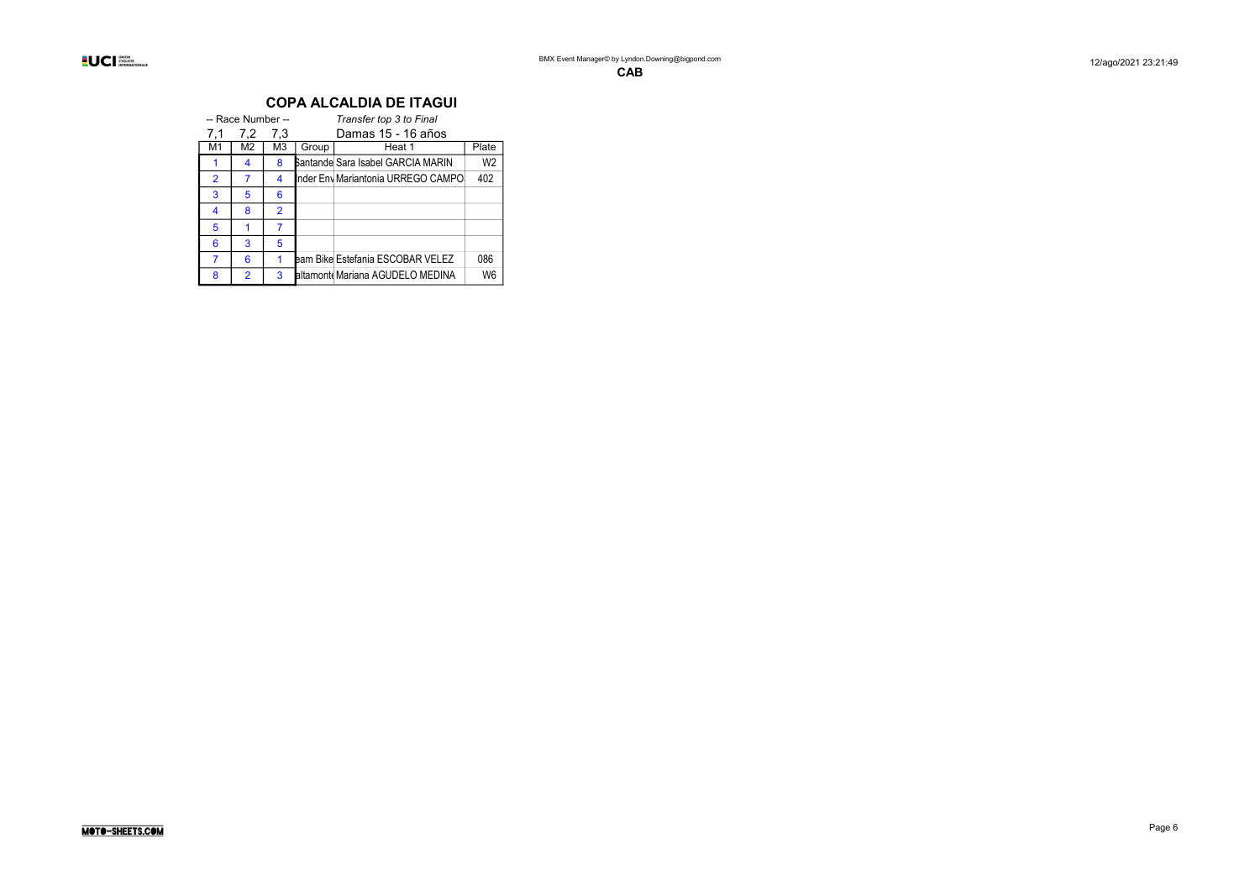|                | -- Race Number -- |                |       | Transfer top 3 to Final            |                |  |  |  |  |  |  |  |
|----------------|-------------------|----------------|-------|------------------------------------|----------------|--|--|--|--|--|--|--|
| 7.1            | 7,2               | 7,3            |       | Damas 15 - 16 años                 |                |  |  |  |  |  |  |  |
| M1             | M2                | M3             | Group | Heat 1                             | Plate          |  |  |  |  |  |  |  |
|                | 4                 | 8              |       | Bantande Sara Isabel GARCIA MARIN  | W <sub>2</sub> |  |  |  |  |  |  |  |
| $\overline{2}$ | 7                 | 4              |       | Inder Env Mariantonia URREGO CAMPO | 402            |  |  |  |  |  |  |  |
| 3              | 5                 | 6              |       |                                    |                |  |  |  |  |  |  |  |
| 4              | 8                 | $\overline{2}$ |       |                                    |                |  |  |  |  |  |  |  |
| 5              |                   | 7              |       |                                    |                |  |  |  |  |  |  |  |
| 6              | 3                 | 5              |       |                                    |                |  |  |  |  |  |  |  |
|                | 6                 | 1              |       | eam Bike Estefania ESCOBAR VELEZ   | 086            |  |  |  |  |  |  |  |
| 8              | $\overline{2}$    | 3              |       | altamont Mariana AGUDELO MEDINA    | Wĥ             |  |  |  |  |  |  |  |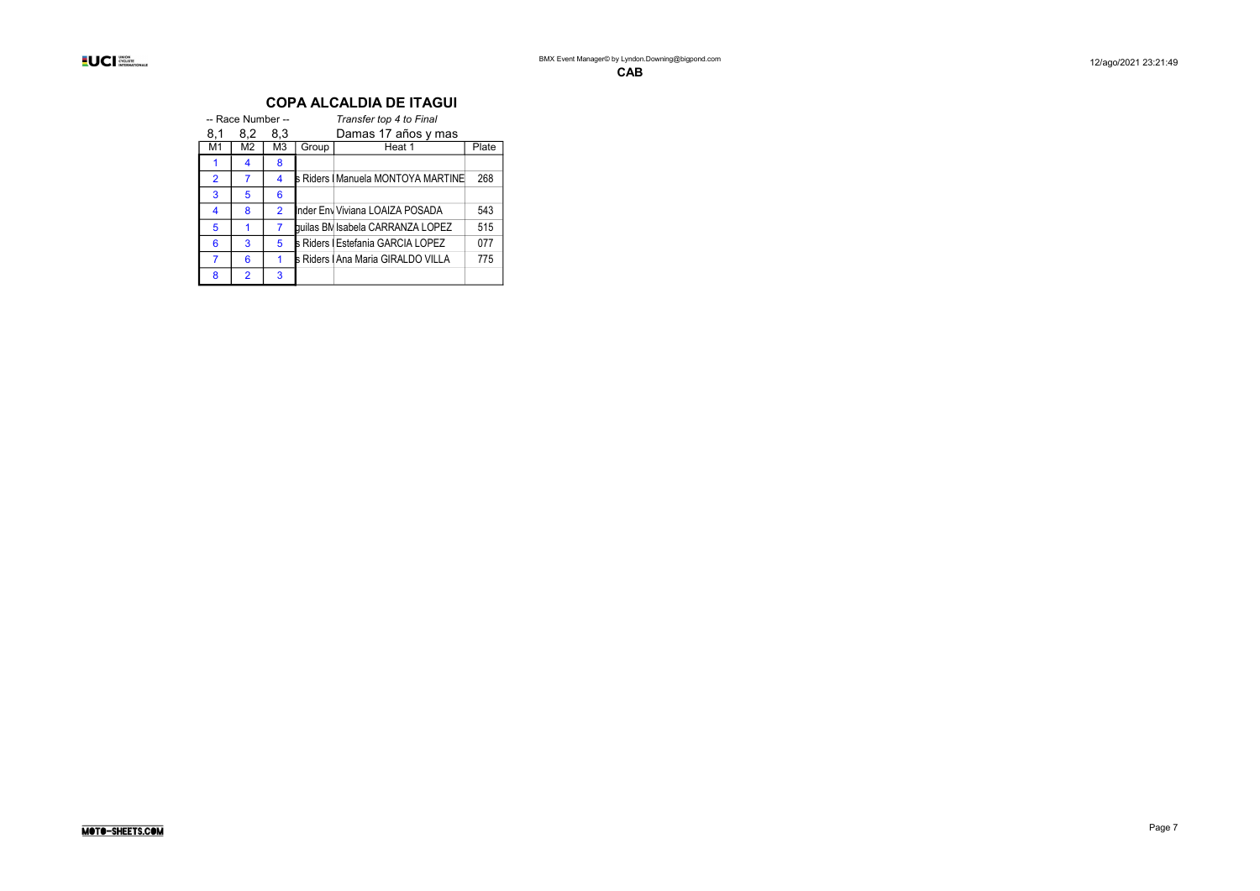|                | -- Race Number -- |                |       | Transfer top 4 to Final            |       |
|----------------|-------------------|----------------|-------|------------------------------------|-------|
| 8,1            | 8.2               | 8.3            |       | Damas 17 años y mas                |       |
| M1             | M <sub>2</sub>    | M <sub>3</sub> | Group | Heat 1                             | Plate |
|                | 4                 | 8              |       |                                    |       |
| $\overline{2}$ | 7                 | 4              |       | s Riders   Manuela MONTOYA MARTINE | 268   |
| 3              | 5                 | 6              |       |                                    |       |
| 4              | 8                 | $\overline{2}$ |       | Inder Env Viviana LOAIZA POSADA    | 543   |
| 5              | 1                 | $\overline{7}$ |       | quilas BM Isabela CARRANZA LOPEZ   | 515   |
| 6              | 3                 | 5              |       | s Riders   Estefania GARCIA LOPEZ  | 077   |
|                | 6                 | 1              |       | s Riders   Ana Maria GIRALDO VILLA | 775   |
| 8              | $\overline{2}$    | 3              |       |                                    |       |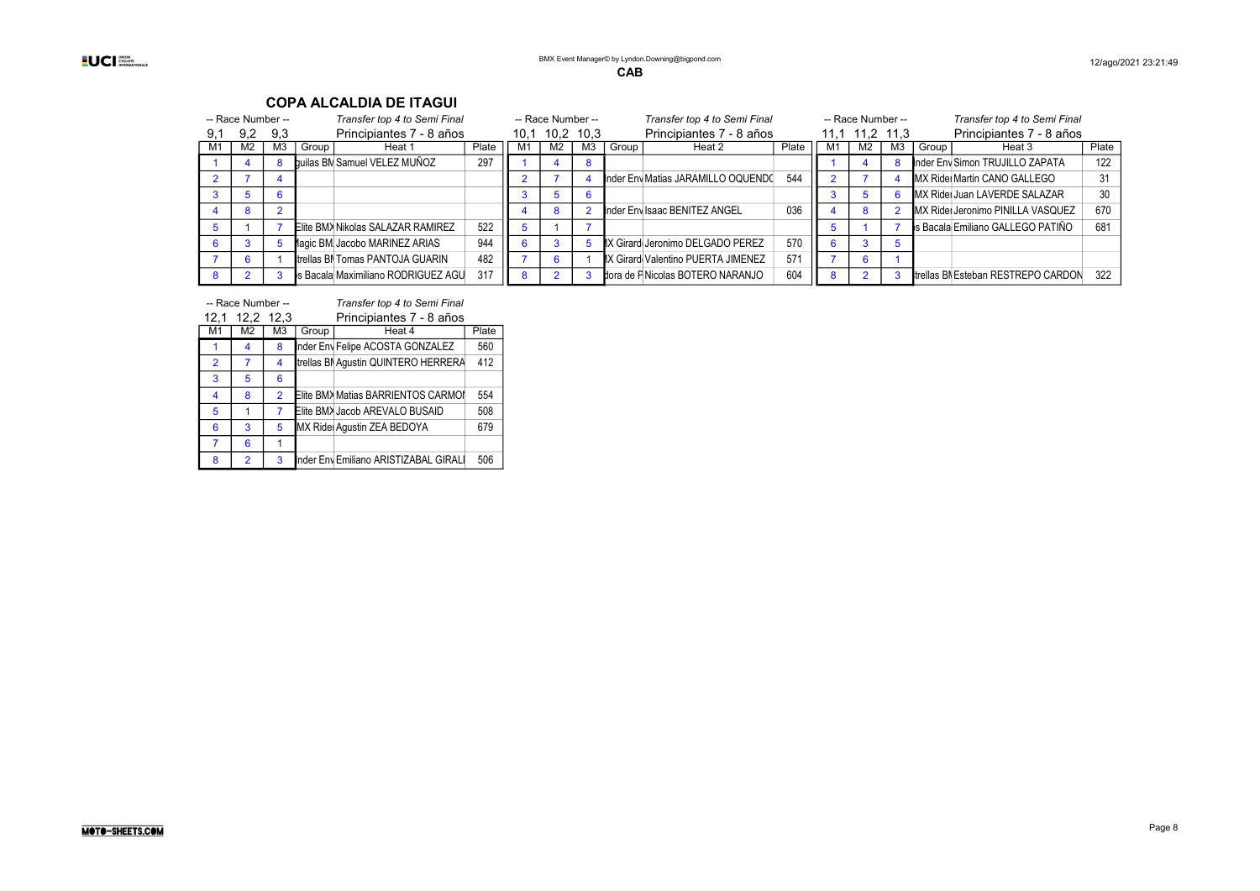#### -- Race Number -- Transfer top 4 to Semi Final -- Race Number -- Transfer top 4 to Semi Final -- Race Number -- Transfer top 4 to Semi Final<br>9.1 9.2 9.3 Principiantes 7 - 8 años 10.1 10.2 10.3 Principiantes 7 - 8 años 11.1 9,1 9,2 9,3 Principiantes 7 - 8 años 10,1 10,2 10,3 Principiantes 7 - 8 años 11,1 11,2 11,3 Principiantes 7 - 8 años 11,1 11,2 11,3 Principiantes 7 - 8 años 11,1 11,2 11,3 Principiantes 7 - 8 años 11,1 11,2 11,3 Principian France Comprise theat 1 Plate M1 M2 M3 Group Heat 2 Plate M1 M2 M3 Group Heat 3 Plate<br>Buillas RM Samuel VFL F7 MUÑO7 297 1 4 8 1 4 8 **builas BM**Samuel VELEZ MUÑOZ 297 1 4 8 2 7 4 2 7 4 DIRECTIVE AND RETURNATION MATIAS ARAMILLO OQUENDO 544 2 7 4 MX Rider Martin CANO GALLEGO 31 3 5 6 3 5 6 BMX Rider Juan LAVERDE SALAZAR 30 4 8 2 4 8 2BMX Inder Envigado Isaac BENITEZ ANGEL 036 4 8 2 BMX RidersJeronimo PINILLA VASQUEZ 670 5 1 7 Elite BMX Nikolas SALAZAR RAMIREZ 522 5 1 7 3 1 7 S Bacala Emiliano GALLEGO PATIÑO 681 6 3 5 Magic BMXJacobo MARINEZ ARIAS 944 6 3 5 BMX GirardotaJeronimo DELGADO PEREZ 570 6 3 5 7 6 1 trellas BNTomas PANTOJA GUARIN 482 7 6 1 X Girard Valentino PUERTA JIMENEZ 571 7 6 1 8 2 3 s Bacala Maximiliano RODRIGUEZ AGU 317 8 2 3 bora de FNicolas BOTERO NARANJO 604 8 2 3 trellas BN Esteban RESTREPO CARDON 322

#### COPA ALCALDIA DE ITAGUI

|                | -- Race Number -- |                |       | Transfer top 4 to Semi Final          |       |  |  |  |  |  |  |
|----------------|-------------------|----------------|-------|---------------------------------------|-------|--|--|--|--|--|--|
| 12,1           | 12,2 12,3         |                |       | Principiantes 7 - 8 años              |       |  |  |  |  |  |  |
| M <sub>1</sub> | M <sub>2</sub>    | M <sub>3</sub> | Group | Heat 4                                | Plate |  |  |  |  |  |  |
| 1              | 4                 | 8              |       | nder Env Felipe ACOSTA GONZALEZ       | 560   |  |  |  |  |  |  |
| $\overline{2}$ | 7                 | 4              |       | trellas BI Aqustin QUINTERO HERRERA   | 412   |  |  |  |  |  |  |
| 3              | 5                 | 6              |       |                                       |       |  |  |  |  |  |  |
| 4              | 8                 | $\overline{2}$ |       | Elite BMX Matias BARRIENTOS CARMOI    | 554   |  |  |  |  |  |  |
| 5              | 1                 | 7              |       | Elite BMX Jacob AREVALO BUSAID        | 508   |  |  |  |  |  |  |
| 6              | 3                 | 5              |       | MX Ride Aqustin ZEA BEDOYA            | 679   |  |  |  |  |  |  |
| 7              | 6                 | 1              |       |                                       |       |  |  |  |  |  |  |
| 8              | $\overline{2}$    | 3              |       | Inder Env Emiliano ARISTIZABAL GIRALI | 506   |  |  |  |  |  |  |

MOTO-SHEETS.COM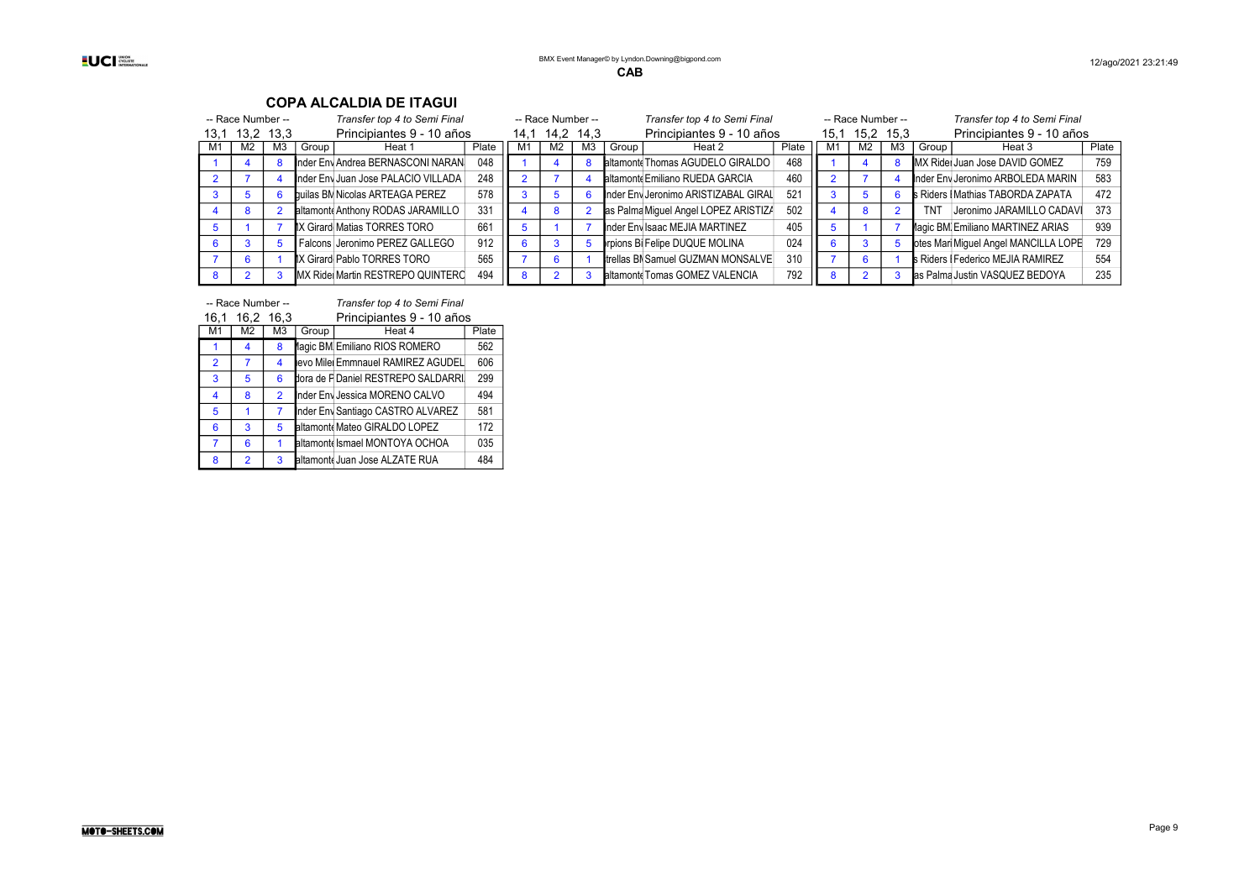| Transfer top 4 to Semi Final<br>-- Race Number -- |                |      | -- Race Number --                   |       |      | Transfer top 4 to Semi Final |    |       | -- Race Number --                    |                 |      | Transfer top 4 to Semi Final |                |            |                                          |       |
|---------------------------------------------------|----------------|------|-------------------------------------|-------|------|------------------------------|----|-------|--------------------------------------|-----------------|------|------------------------------|----------------|------------|------------------------------------------|-------|
| 13.1                                              | 13,2           | 13.3 | Principiantes 9 - 10 años           |       | 14.1 | 14,2 14,3                    |    |       | Principiantes 9 - 10 años            |                 | 15.1 | 15,2 15,3                    |                |            | Principiantes 9 - 10 años                |       |
| M1                                                | M <sub>2</sub> | M3   | Group<br>Heat 1                     | Plate | M1   | M <sub>2</sub>               | MЗ | Group | Heat 2                               | Plate           | M.   | M2                           | M <sub>3</sub> | Group      | Heat 3                                   | Plate |
|                                                   |                |      | Inder Env Andrea BERNASCONI NARAN   | 048   |      |                              |    |       | altamont Thomas AGUDELO GIRALDO      | 468             |      |                              |                |            | MX Ridei Juan Jose DAVID GOMEZ           | 759   |
|                                                   |                |      | Inder Env Juan Jose PALACIO VILLADA | 248   |      |                              |    |       | altamonte Emiliano RUEDA GARCIA      | 460             |      |                              |                |            | Inder Env Jeronimo ARBOLEDA MARIN        | 583   |
|                                                   |                |      | builas BM Nicolas ARTEAGA PEREZ     | 578   |      |                              |    |       | Inder Env Jeronimo ARISTIZABAL GIRAL | 52 <sup>1</sup> |      | 5                            |                |            | <b>s</b> Riders I Mathias TABORDA ZAPATA | 472   |
|                                                   |                |      | altamont Anthony RODAS JARAMILLO    | 331   |      |                              |    |       | as Palma Miguel Angel LOPEZ ARISTIZA | 502             |      | 8                            |                | <b>TN1</b> | Jeronimo JARAMILLO CADAVI                | 373   |
|                                                   |                |      | IX Girard Matias TORRES TORO        | 661   |      |                              |    |       | Inder Env Isaac MEJIA MARTINEZ       | 405             |      |                              |                |            | lagic BM Emiliano MARTINEZ ARIAS         | 939   |
|                                                   |                |      | Falcons Jeronimo PEREZ GALLEGO      | 912   |      |                              |    |       | rpions Bi Felipe DUQUE MOLINA        | 024             |      |                              |                |            | otes Mari Miguel Angel MANCILLA LOPE     | 729   |
|                                                   |                |      | IX Girard Pablo TORRES TORO         | 565   |      |                              |    |       | trellas BN Samuel GUZMAN MONSALVE    | 310             |      | -6                           |                |            | s Riders   Federico MEJIA RAMIREZ        | 554   |
| 8                                                 |                |      | MX Ride Martin RESTREPO QUINTERC    | 494   |      |                              |    |       | altamont Tomas GOMEZ VALENCIA        | 792             |      |                              |                |            | as Palma Justin VASQUEZ BEDOYA           | 235   |

| -- Race Number -- | Transfer top 4 to Semi Final |
|-------------------|------------------------------|
|                   |                              |

| 16,1           | 16,2           | 16,3           |       | Principiantes 9 - 10 años          |       |
|----------------|----------------|----------------|-------|------------------------------------|-------|
| M1             | M2             | M <sub>3</sub> | Group | Heat 4                             | Plate |
|                | 4              | 8              |       | lagic BM Emiliano RIOS ROMERO      | 562   |
| $\overline{2}$ | 7              | 4              |       | evo Mile Emmnauel RAMIREZ AGUDEL   | 606   |
| 3              | 5              | 6              |       | dora de F Daniel RESTREPO SALDARRI | 299   |
| 4              | 8              | $\overline{2}$ |       | Inder Env Jessica MORENO CALVO     | 494   |
| 5              |                |                |       | Inder Env Santiago CASTRO ALVAREZ  | 581   |
| 6              | 3              | 5              |       | altamont Mateo GIRALDO LOPEZ       | 172   |
| 7              | 6              |                |       | altamont Ismael MONTOYA OCHOA      | 035   |
| 8              | $\overline{2}$ | 3              |       | altamont Juan Jose ALZATE RUA      | 484   |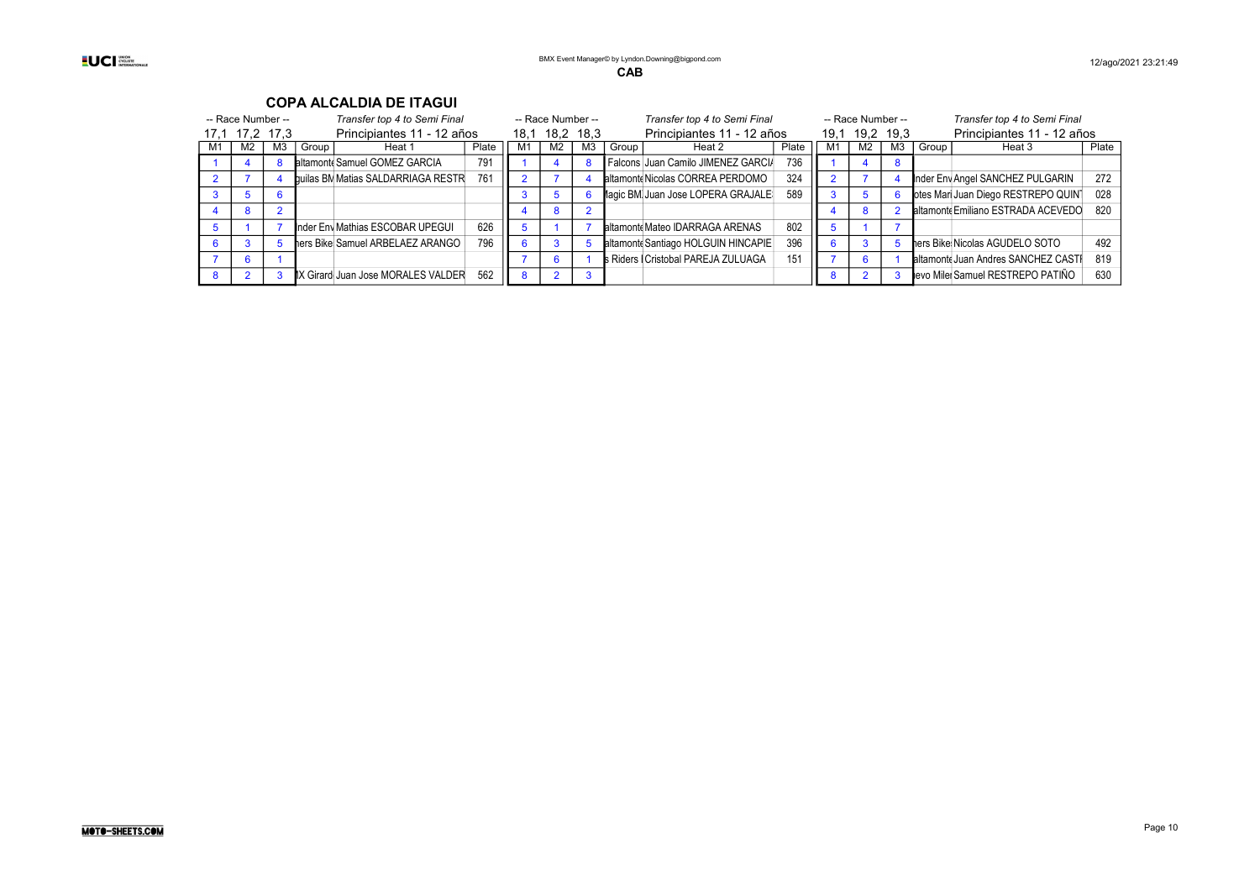#### -- Race Number -- Transfer top 4 to Semi Final -- Race Number -- Transfer top 4 to Semi Final -- Race Number -- Transfer top 4 to Semi Final 17,1 17,2 17,3 Principiantes 11 - 12 años 18,1 18,2 18,3 Principiantes 11 - 12 años 19,1 19,2 19,3 Principiantes 11 - 12 años<br>M1 | M2 | M3 | Group | Heat 1 | Plate | M1 | M2 | M3 | Group | Heat 2 | Plate | M1 | M2 | M3 | G Frame Heat 1 Plate M1 M2 M3 Group Heat 2 Plate M1 M2 M3 Group<br>
Biltamont Samuel GOMEZ GARCIA 791 1 4 8 Falcons Juan Camilo JIMFNFZ GARCIA 736 1 4 8 1 4 8 Biltamonte Samuel GOMEZ GARCIA 791 1 4 8 Falcons Juan Camilo JIMENEZ GARCIA 736 1 4 8 2 7 4 **builas BM Matias SALDARRIAGA RESTR** 761 2 7 4 **altamonte Nicolas CORREA PERDOMO** 324 2 7 4 **Inder Envigado SANCHEZ PULGARIN** 272 3 5 6 6 3 5 6 Magic BM Juan Jose LOPERA GRAJALE 589 3 5 6 Coles Mari Juan Diego RESTREPO QUINT 028 4 8 2 4 8 2 altamonte Emiliano ESTRADA ACEVEDO 820 5 1 7 nder Envi Mathias ESCOBAR UPEGUI 626 5 1 7 altamonte Mateo IDARRAGA ARENAS 802 5 1 7 6 3 5 ners Bike Samuel ARBELAEZ ARANGO 796 6 3 5 altamonte Santiago HOLGUIN HINCAPIE 396 6 3 5 ners Bike Nicolas AGUDELO SOTO 492 7 6 1 1 Cristophe Cristophe Riders BMX Cristobal PAREJA ZULUAGA 151 | 7 6 1 Saltamonte Juan Andres SANCHEZ CASTRI 8 2 3 BMX GirardotaJuan Jose MORALES VALDERRAMA 562 8 2 3 8 2 3 Nuevo MilenioSamuel RESTREPO PATIÑO 630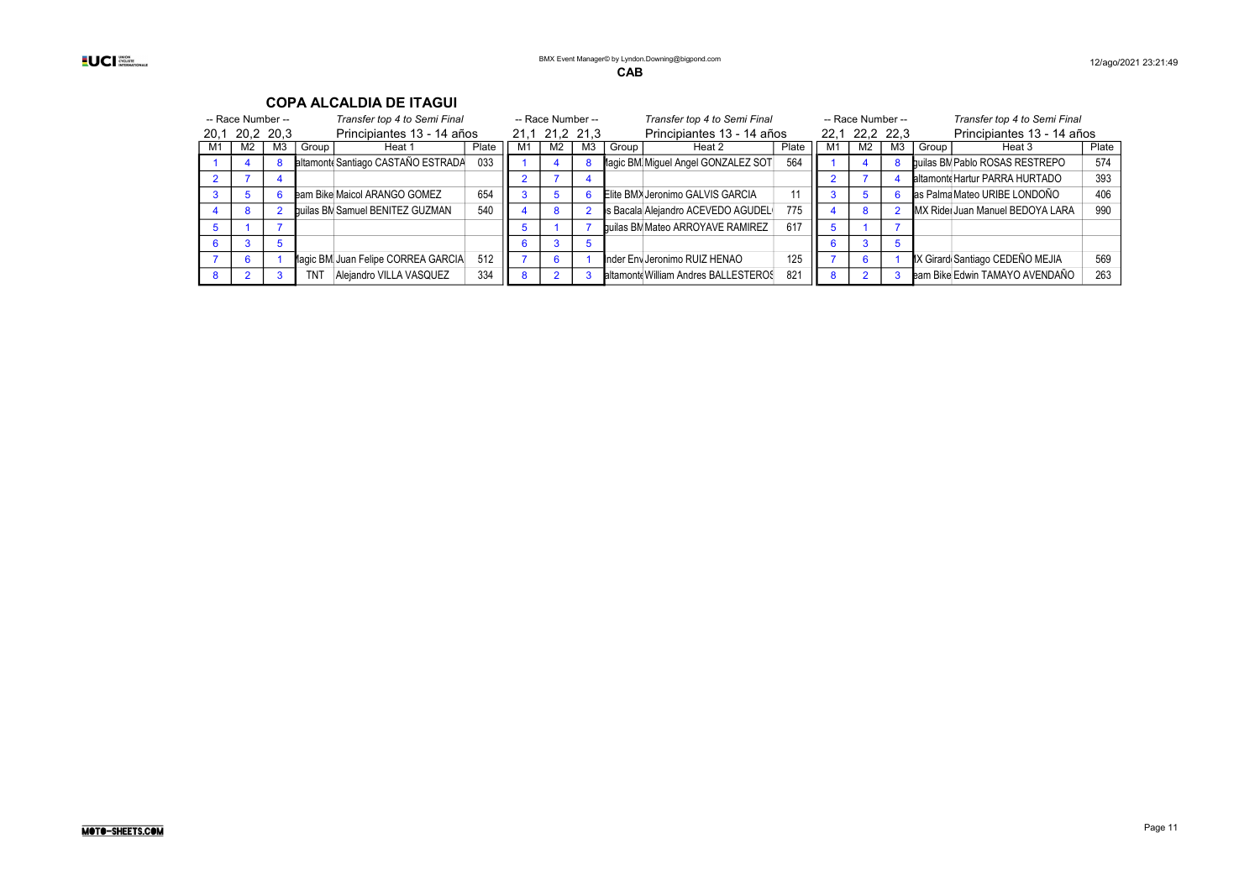#### -- Race Number -- Transfer top 4 to Semi Final -- Race Number -- Transfer top 4 to Semi Final -- Race Number -- Transfer top 4 to Semi Final -- Race Number -- Transfer top 4 to Semi Final -- Race Number -- Transfer top 4 t 20,1 20,2 20,3 Principiantes 13 - 14 años 21,1 21,2 21,3 Principiantes 13 - 14 años 22,1 22,2 22,3 Principiantes 13 - 14 años<br>M1 | M2 | M3 | Group | Heat 1 | Plate | M1 | M2 | M3 | Group | Heat 2 | Plate | M1 | M2 | M3 | G Frace M1 M2 M3 Group Heat 2 Plate M1 M2 M3 Group Heat 3<br>Magic BM Miguel Angel GONZALEZ SOT 564 1 4 8 builas BM Pablo ROSAS RESTREPO 1 4 8 Biltamonte Santiago CASTAÑO ESTRADA 033 1 4 8 Magic BM Miguel Angel GONZALEZ SOT 564 1 4 8 Builas BM Pablo ROSAS RESTREPO 574 2 7 4 2 7 4 30 2 7 4 2 2 7 4 30 2 7 4 30 2 2 7 4 30 2 2 7 4 30 2 393 3 5 6 Bam Bike Maicol ARANGO GOMEZ 654 3 5 6 Elite BMX Jeronimo GALVIS GARCIA 11 3 5 6 Bas Palma Mateo URIBE LONDOÑO 406 4 8 2 Builas BM Samuel BENITEZ GUZMAN 540 4 8 2 SBacala Alejandro ACEVEDO AGUDEL 775 4 8 2 MX Rider Juan Manuel BEDOYA LARA 990 5 1 7 7 5 1 7 Aguilas BM Mateo ARROYAVE RAMIREZ 617 5 1 7 6 3 5 6 3 5 6 3 5 6 3 5 6 3 5 6 3 5 6 7 8  $\sqrt{3}$ 7 6 | 1 Magic BM Juan Felipe CORREA GARCIA 512 | 7 | 6 | 1 Mader Env Jeronimo RUIZ HENAO | 125 | 7 | 6 | 1 MX Girard Santiago CEDEÑO MEJIA | 569 8 2 3 TNT Alejandro VILLA VASQUEZ 334 8 2 3 altamonte William Andres BALLESTEROS 821 8 2 3 Bam Bike Edwin TAMAYO AVENDAÑO 263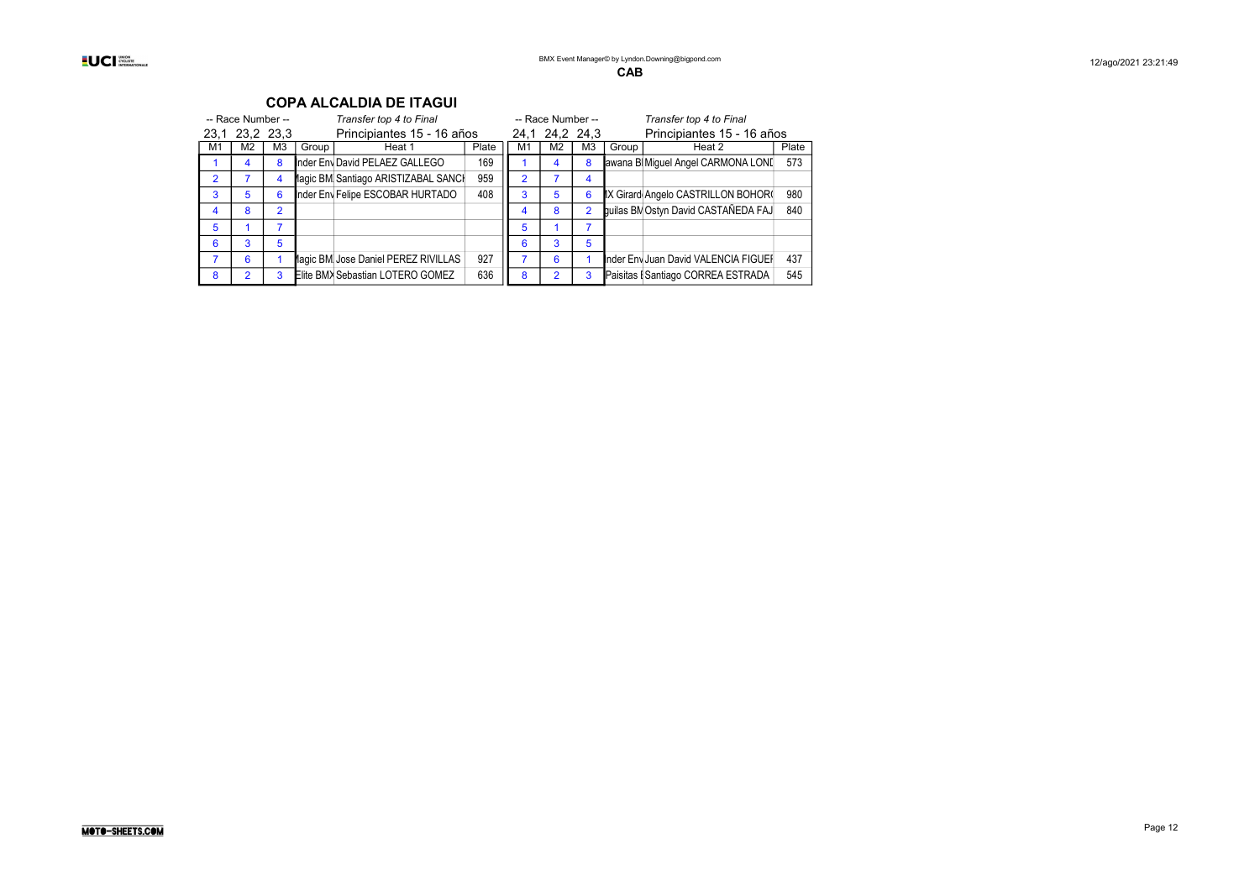#### **UCI** Stern Deck

| -- Race Number -- |                |    |                            | Transfer top 4 to Final             |       |    | -- Race Number -- |    |       | Transfer top 4 to Final              |       |  |
|-------------------|----------------|----|----------------------------|-------------------------------------|-------|----|-------------------|----|-------|--------------------------------------|-------|--|
|                   | 23.1 23.2 23.3 |    | Principiantes 15 - 16 años |                                     |       |    | 24,1 24,2 24,3    |    |       | Principiantes 15 - 16 años           |       |  |
| M1                | M2             | M3 | Group                      | Heat 1                              | Plate | M1 | M2                | M3 | Group | Heat 2                               | Plate |  |
|                   |                | 8  |                            | Inder Env David PELAEZ GALLEGO      | 169   |    |                   | 8  |       | awana B Miquel Angel CARMONA LONI    | 573   |  |
| 2                 |                | 4  |                            | lagic BM Santiago ARISTIZABAL SANCI | 959   | 2  |                   | 4  |       |                                      |       |  |
| 3                 | 5              | 6  |                            | Inder Env Felipe ESCOBAR HURTADO    | 408   | 3  | 5                 | 6  |       | IX Girard Angelo CASTRILLON BOHOR(   | 980   |  |
|                   | 8              | 2  |                            |                                     |       |    | 8                 | 2  |       | quilas BM Ostyn David CASTAÑEDA FAJ  | 840   |  |
| 5                 |                |    |                            |                                     |       |    |                   |    |       |                                      |       |  |
| 6                 | 3              | 5  |                            |                                     |       | 6  |                   | 5  |       |                                      |       |  |
|                   | 6              |    |                            | lagic BM Jose Daniel PEREZ RIVILLAS | 927   |    | 6                 |    |       | Inder Env Juan David VALENCIA FIGUEF | 437   |  |
| 8                 |                | 3  |                            | Elite BMX Sebastian LOTERO GOMEZ    | 636   | 8  |                   | 3  |       | Paisitas I Santiago CORREA ESTRADA   | 545   |  |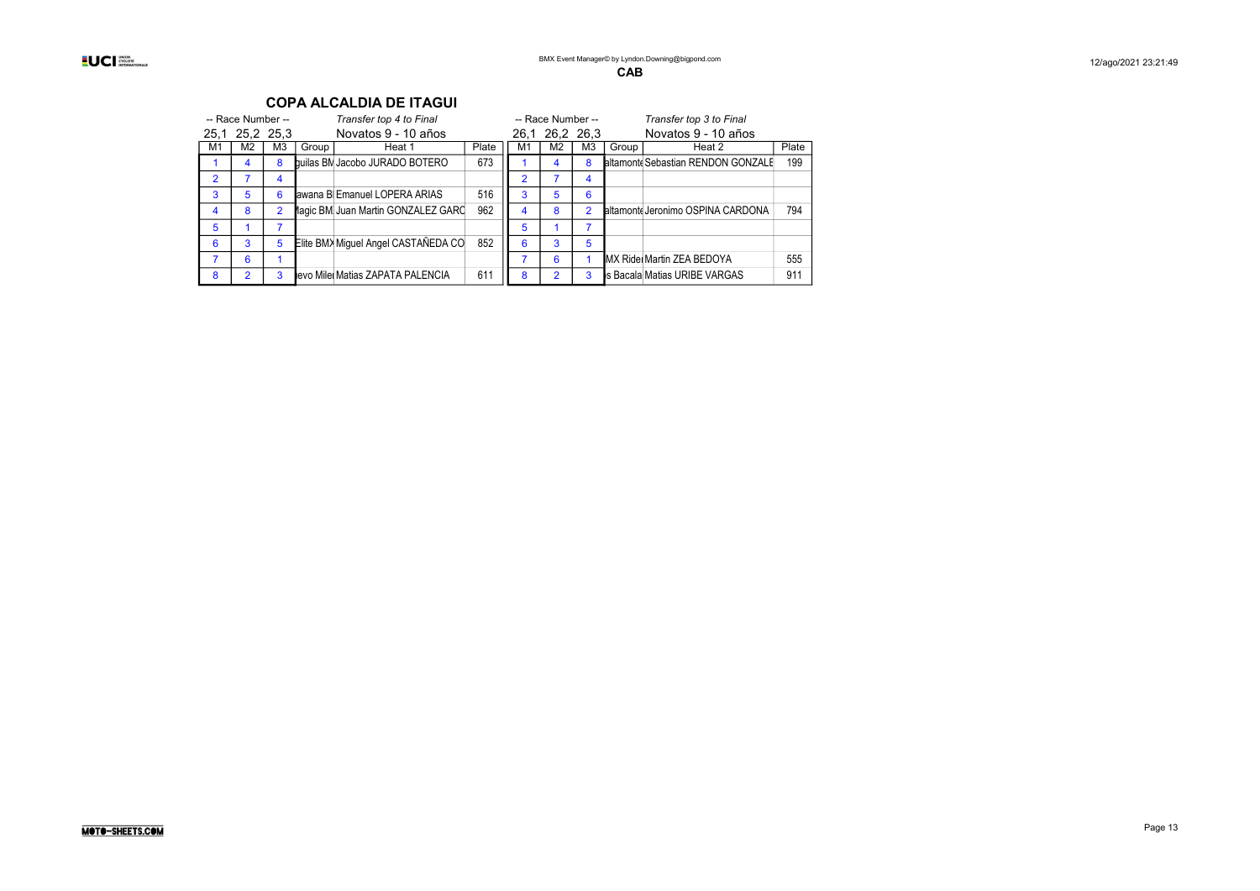| -- Race Number -- |                |                |       | Transfer top 4 to Final             |       |    | -- Race Number -- |                |       | Transfer top 3 to Final            |       |
|-------------------|----------------|----------------|-------|-------------------------------------|-------|----|-------------------|----------------|-------|------------------------------------|-------|
|                   | 25,1 25,2 25,3 |                |       | Novatos 9 - 10 años                 |       |    | 26.1 26.2 26.3    |                |       | Novatos 9 - 10 años                |       |
| M1                | M2             | M <sub>3</sub> | Group | Heat 1                              | Plate | M1 | M <sub>2</sub>    | M <sub>3</sub> | Group | Heat 2                             | Plate |
|                   | 4              | 8              |       | builas BN Jacobo JURADO BOTERO      | 673   |    |                   | 8              |       | altamont Sebastian RENDON GONZALE  | 199   |
| 2                 |                | 4              |       |                                     |       |    |                   | 4              |       |                                    |       |
| 3                 | 5              | 6              |       | awana B Emanuel LOPERA ARIAS        | 516   | 3  | 5                 | 6              |       |                                    |       |
| 4                 | 8              | $\overline{2}$ |       | lagic BM Juan Martin GONZALEZ GARC  | 962   | 4  | 8                 | 2              |       | altamonte Jeronimo OSPINA CARDONA  | 794   |
| 5                 |                |                |       |                                     |       | 5  |                   |                |       |                                    |       |
| 6                 | 3              | 5              |       | Elite BM> Miquel Angel CASTAÑEDA CO | 852   | 6  | 3                 | 5              |       |                                    |       |
|                   | 6              |                |       |                                     |       |    | 6                 |                |       | <b>IMX Ridel Martin ZEA BEDOYA</b> | 555   |
| 8                 | 2              | 3              |       | levo Mile Matias ZAPATA PALENCIA    | 611   | 8  | າ                 | 3              |       | Is Bacala Matias URIBE VARGAS      | 911   |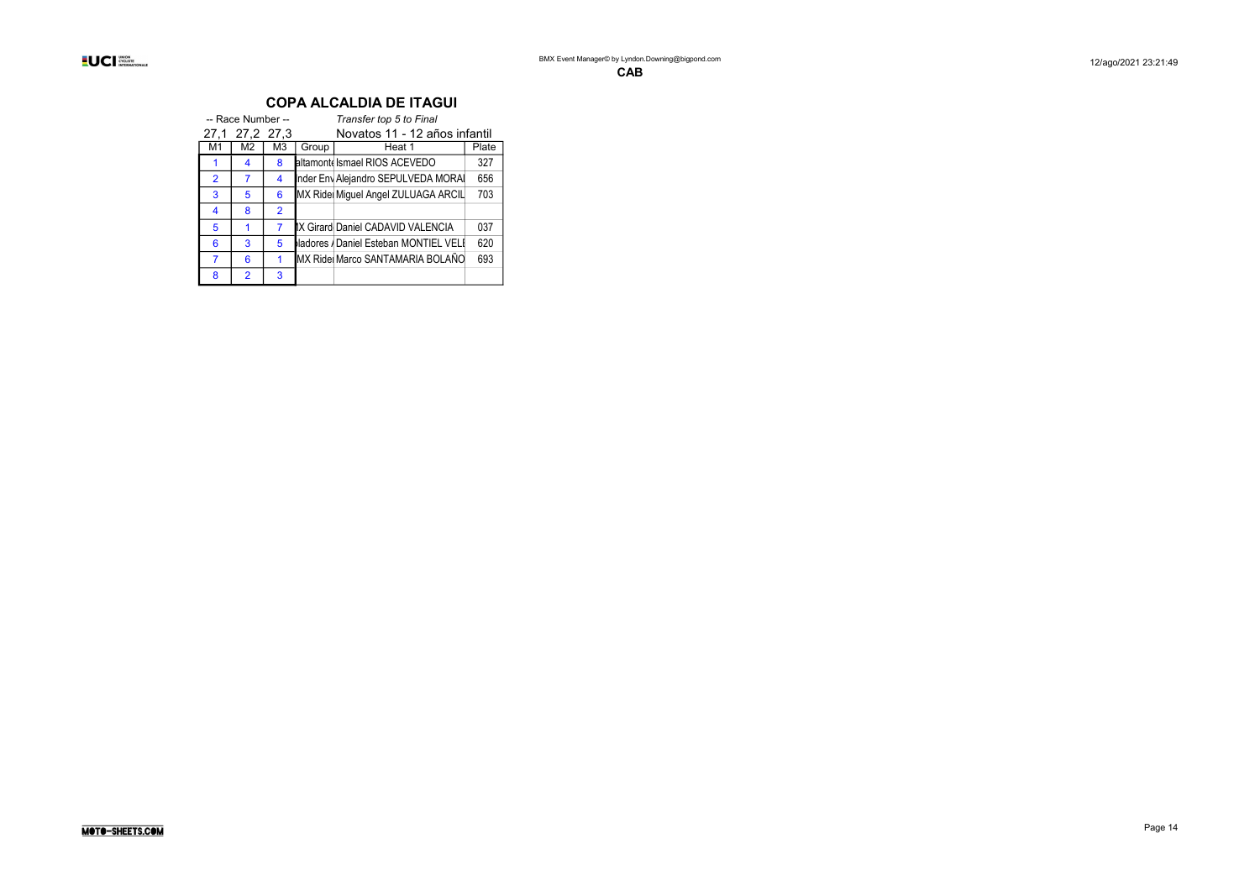|                | -- Race Number -- |                |       | Transfer top 5 to Final               |     |  |  |
|----------------|-------------------|----------------|-------|---------------------------------------|-----|--|--|
|                | 27,1 27,2 27,3    |                |       | Novatos 11 - 12 años infantil         |     |  |  |
| M1             | M2                | M3             | Group | Heat 1                                |     |  |  |
|                | 4                 | 8              |       | altamont Ismael RIOS ACEVEDO          | 327 |  |  |
| $\overline{2}$ | 7                 | 4              |       | Inder Env Alejandro SEPULVEDA MORA    | 656 |  |  |
| 3              | 5                 | 6              |       | MX Ride Miguel Angel ZULUAGA ARCIL    | 703 |  |  |
| 4              | 8                 | $\overline{2}$ |       |                                       |     |  |  |
| 5              |                   | 7              |       | IX Girard Daniel CADAVID VALENCIA     | 037 |  |  |
| 6              | 3                 | 5              |       | ladores / Daniel Esteban MONTIEL VELI | 620 |  |  |
|                | 6                 |                |       | MX Ride Marco SANTAMARIA BOLAÑO       | 693 |  |  |
| 8              | $\overline{2}$    | 3              |       |                                       |     |  |  |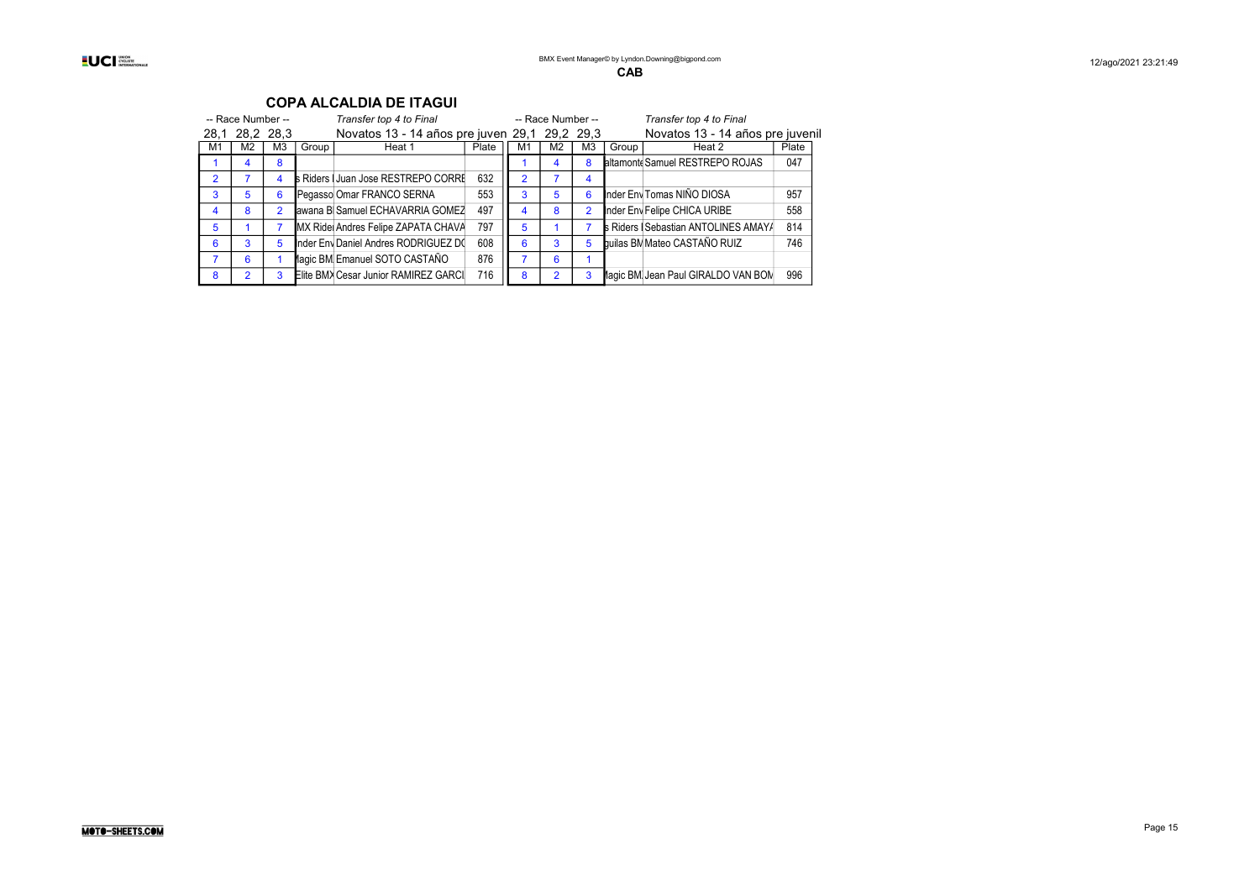| -- Race Number -- |                |                |       | Transfer top 4 to Final                       |       |    | -- Race Number -- |                |       | Transfer top 4 to Final                     |       |
|-------------------|----------------|----------------|-------|-----------------------------------------------|-------|----|-------------------|----------------|-------|---------------------------------------------|-------|
|                   | 28,1 28,2 28,3 |                |       | Novatos 13 - 14 años pre juven 29,1 29,2 29,3 |       |    |                   |                |       | Novatos 13 - 14 años pre juvenil            |       |
| M1                | M2             | M3             | Group | Heat 1                                        | Plate | M1 | M2                | ΜЗ             | Group | Heat 2                                      | Plate |
|                   | 4              | 8              |       |                                               |       |    |                   | 8              |       | altamonte Samuel RESTREPO ROJAS             | 047   |
| $\mathcal{P}$     |                | 4              |       | s Riders   Juan Jose RESTREPO CORRI           | 632   | 2  |                   | 4              |       |                                             |       |
| 3                 | 5              | 6              |       | Pegasso Omar FRANCO SERNA                     | 553   | 3  | 5                 | 6              |       | Inder Env Tomas NIÑO DIOSA                  | 957   |
| 4                 | 8              | $\overline{2}$ |       | awana B Samuel ECHAVARRIA GOMEZ               | 497   |    | 8                 | $\overline{2}$ |       | Inder Env Felipe CHICA URIBE                | 558   |
| 5                 |                |                |       | MX Ride Andres Felipe ZAPATA CHAVA            | 797   | 5  |                   |                |       | <b>s</b> Riders   Sebastian ANTOLINES AMAYA | 814   |
| 6                 | 3              | 5              |       | Inder Env Daniel Andres RODRIGUEZ D(          | 608   | 6  | 3                 | 5              |       | builas BM Mateo CASTAÑO RUIZ                | 746   |
|                   | 6              |                |       | lagic BM Emanuel SOTO CASTAÑO                 | 876   |    | 6                 |                |       |                                             |       |
| 8                 | 2              | 3              |       | Elite BMX Cesar Junior RAMIREZ GARCI          | 716   | 8  | 2                 | 3              |       | lagic BM Jean Paul GIRALDO VAN BOM          | 996   |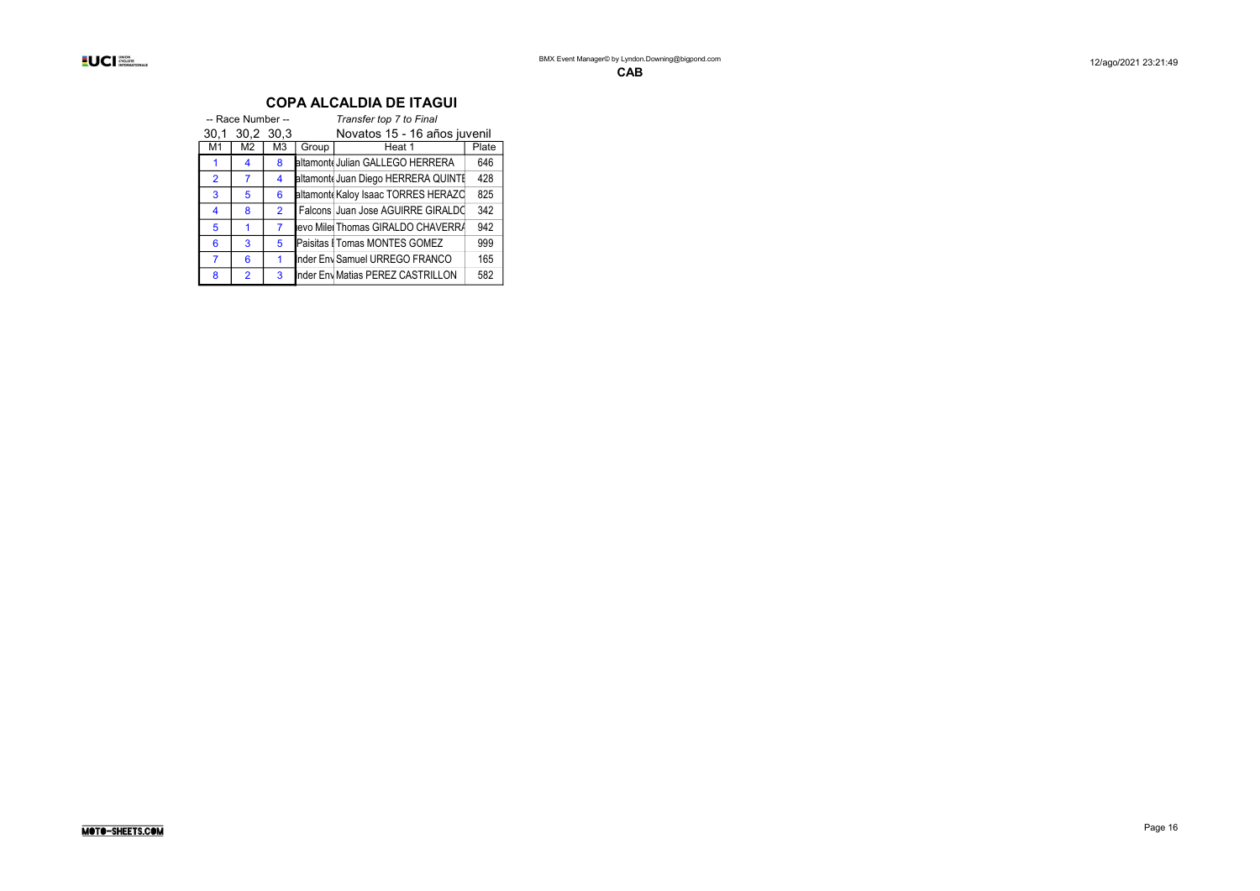|                | -- Race Number -- |                |       | Transfer top 7 to Final            |       |
|----------------|-------------------|----------------|-------|------------------------------------|-------|
| 30.1           | 30,2 30,3         |                |       | Novatos 15 - 16 años juvenil       |       |
| M1             | M2                | M <sub>3</sub> | Group | Heat 1                             | Plate |
|                | 4                 | 8              |       | altamont Julian GALLEGO HERRERA    | 646   |
| $\overline{2}$ | 7                 | 4              |       | altamont Juan Diego HERRERA QUINTI | 428   |
| 3              | 5                 | 6              |       | altamont Kaloy Isaac TORRES HERAZC | 825   |
| 4              | 8                 | $\overline{2}$ |       | Falcons Juan Jose AGUIRRE GIRALDO  | 342   |
| 5              |                   | 7              |       | levo Mile Thomas GIRALDO CHAVERR/  | 942   |
| 6              | 3                 | 5              |       | Paisitas I Tomas MONTES GOMEZ      | 999   |
| 7              | 6                 |                |       | Inder Env Samuel URREGO FRANCO     | 165   |
| 8              | $\mathfrak{p}$    | 3              |       | Inder Env Matias PEREZ CASTRILLON  | 582   |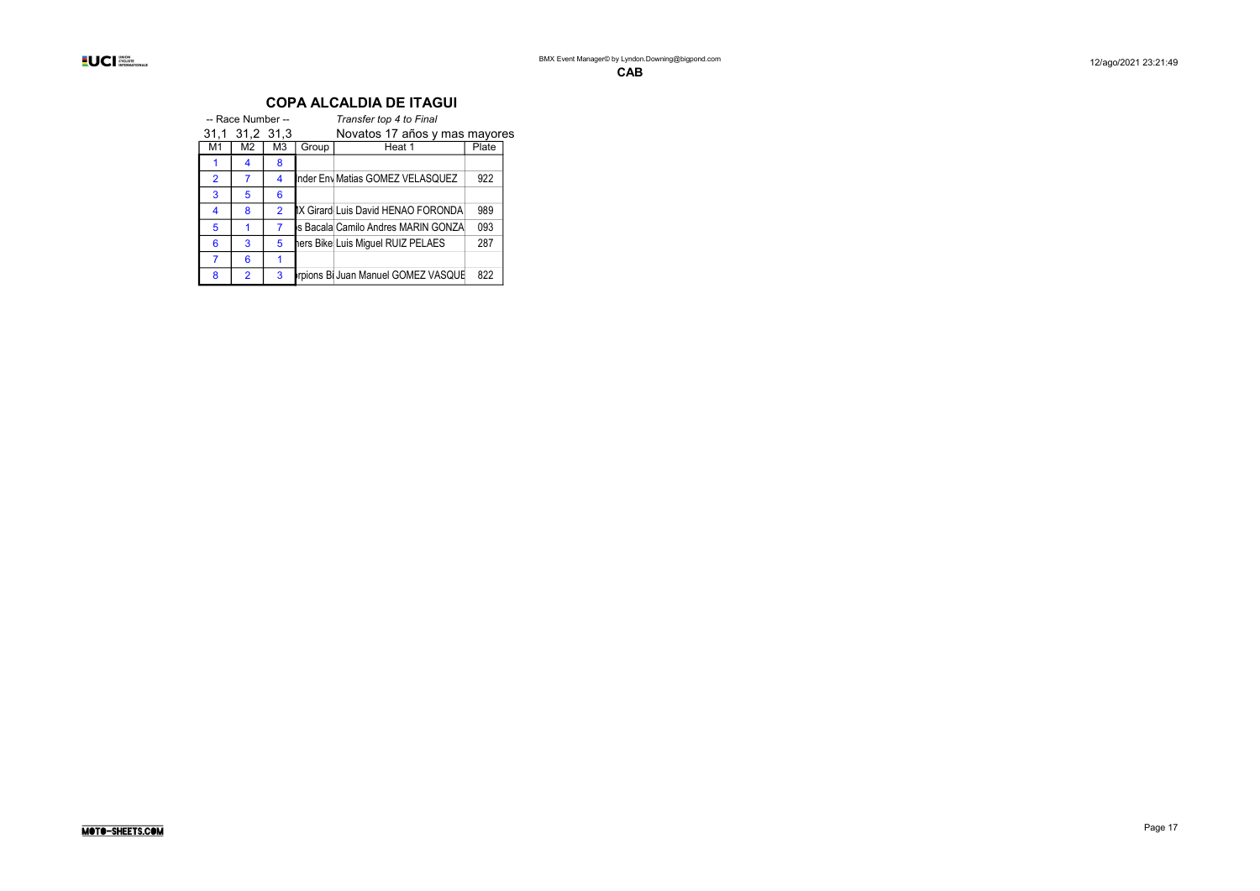|                | -- Race Number -- |                |       | Transfer top 4 to Final            |       |  |  |  |  |  |
|----------------|-------------------|----------------|-------|------------------------------------|-------|--|--|--|--|--|
|                | 31,1 31,2 31,3    |                |       | Novatos 17 años y mas mayores      |       |  |  |  |  |  |
| M1             | M <sub>2</sub>    | M3             | Group | Heat 1                             | Plate |  |  |  |  |  |
|                | 4                 | 8              |       |                                    |       |  |  |  |  |  |
| $\overline{2}$ | 7                 | 4              |       | Inder Env Matias GOMEZ VELASQUEZ   | 922   |  |  |  |  |  |
| 3              | 5                 | 6              |       |                                    |       |  |  |  |  |  |
| 4              | 8                 | $\overline{2}$ |       | IX Girard Luis David HENAO FORONDA | 989   |  |  |  |  |  |
| 5              |                   |                |       | s Bacala Camilo Andres MARIN GONZA | 093   |  |  |  |  |  |
| 6              | 3                 | 5              |       | hers Bike Luis Miquel RUIZ PELAES  | 287   |  |  |  |  |  |
| 7              | 6                 |                |       |                                    |       |  |  |  |  |  |
| 8              | $\overline{2}$    | 3              |       | rpions Bi Juan Manuel GOMEZ VASQUE | 822   |  |  |  |  |  |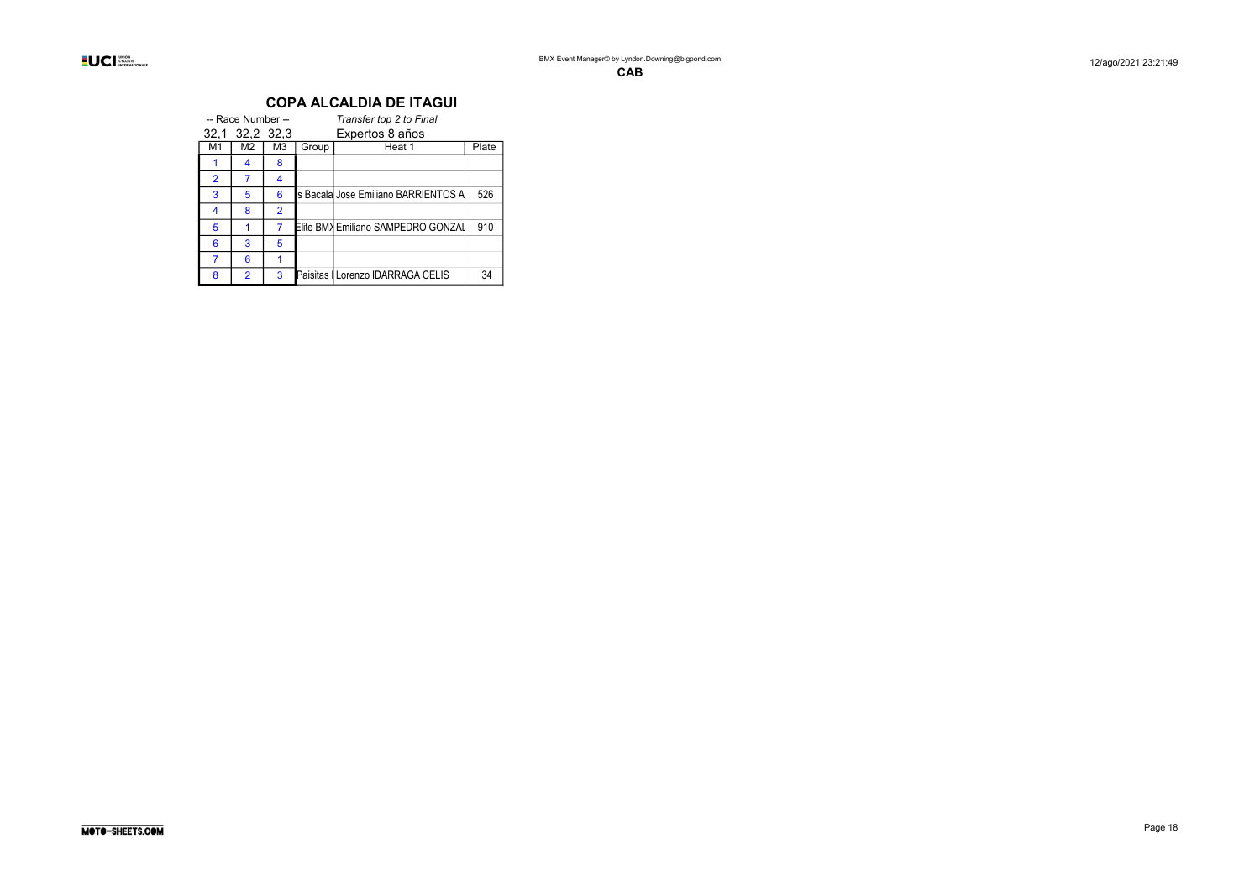|                | -- Race Number -- |    |       | Transfer top 2 to Final               |       |
|----------------|-------------------|----|-------|---------------------------------------|-------|
|                | 32,1 32,2 32,3    |    |       | Expertos 8 años                       |       |
| M1             | M2                | M3 | Group | Heat 1                                | Plate |
|                | 4                 | 8  |       |                                       |       |
| $\overline{2}$ | 7                 | 4  |       |                                       |       |
| 3              | 5                 | 6  |       | ls Bacala Jose Emiliano BARRIENTOS Al | 526   |
| 4              | 8                 | 2  |       |                                       |       |
| 5              |                   | 7  |       | Elite BMX Emiliano SAMPEDRO GONZAI    | 910   |
| 6              | 3                 | 5  |       |                                       |       |
|                | 6                 |    |       |                                       |       |
| 8              | $\overline{2}$    | 3  |       | Paisitas I Lorenzo IDARRAGA CELIS     | 34    |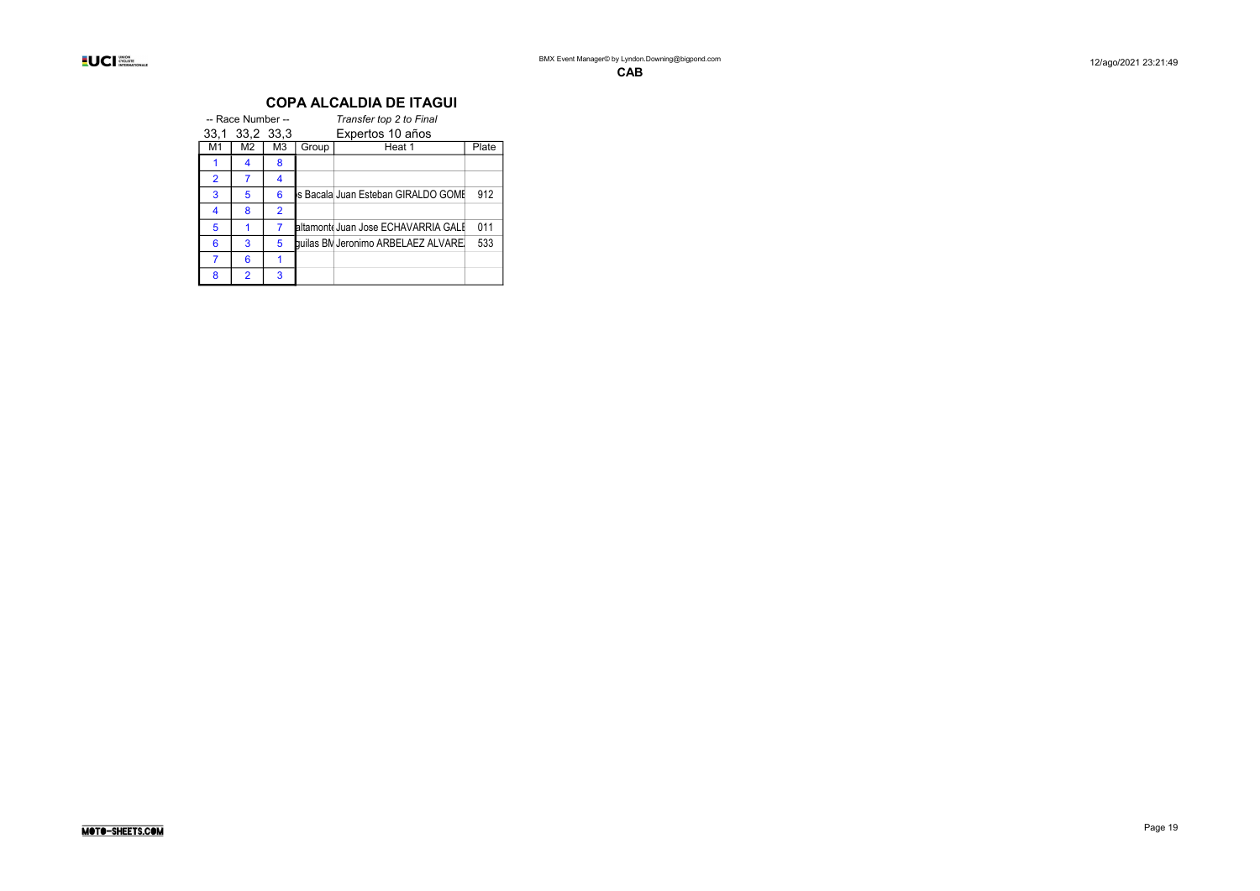|                | -- Race Number -- |                |       | Transfer top 2 to Final             |     |
|----------------|-------------------|----------------|-------|-------------------------------------|-----|
|                | 33.1 33.2 33.3    |                |       | Expertos 10 años                    |     |
| М1             | M2                | M3             | Group | Plate                               |     |
|                | 4                 | 8              |       |                                     |     |
| $\overline{2}$ | 7                 | 4              |       |                                     |     |
| 3              | 5                 | 6              |       | Is Bacala Juan Esteban GIRALDO GOMI | 912 |
| 4              | 8                 | $\overline{2}$ |       |                                     |     |
| 5              |                   | 7              |       | altamont Juan Jose ECHAVARRIA GALI  | 011 |
| 6              | 3                 | 5              |       | builas BN Jeronimo ARBELAEZ ALVAREI | 533 |
|                | 6                 | 1              |       |                                     |     |
| 8              | $\overline{2}$    | 3              |       |                                     |     |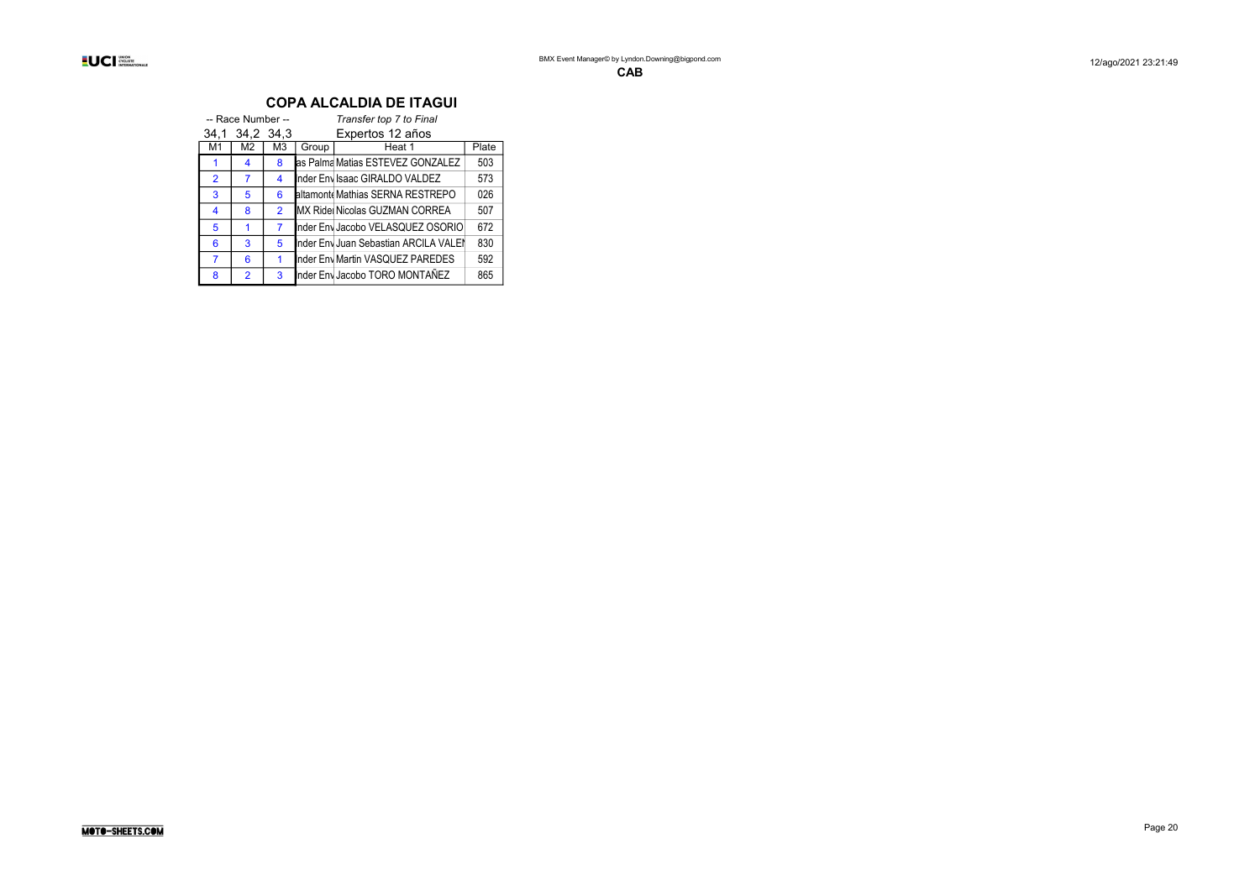|                | -- Race Number -- |                |       | Transfer top 7 to Final               |       |
|----------------|-------------------|----------------|-------|---------------------------------------|-------|
| 34.1           | 34,2 34,3         |                |       | Expertos 12 años                      |       |
| M1             | M2                | M3             | Group | Heat 1                                | Plate |
|                | 4                 | 8              |       | as Palma Matias ESTEVEZ GONZALEZ      | 503   |
| $\overline{2}$ | 7                 | 4              |       | Inder Envisaac GIRALDO VALDEZ         | 573   |
| 3              | 5                 | 6              |       | altamont Mathias SERNA RESTREPO       | 026   |
| 4              | 8                 | $\overline{2}$ |       | MX Ride Nicolas GUZMAN CORREA         | 507   |
| 5              | 1                 | 7              |       | Inder Env Jacobo VELASQUEZ OSORIO     | 672   |
| 6              | 3                 | 5              |       | Inder Env Juan Sebastian ARCILA VALEI | 830   |
| 7              | 6                 | 1              |       | Inder Env Martin VASQUEZ PAREDES      | 592   |
| 8              | $\overline{2}$    | 3              |       | Inder Env Jacobo TORO MONTAÑEZ        | 865   |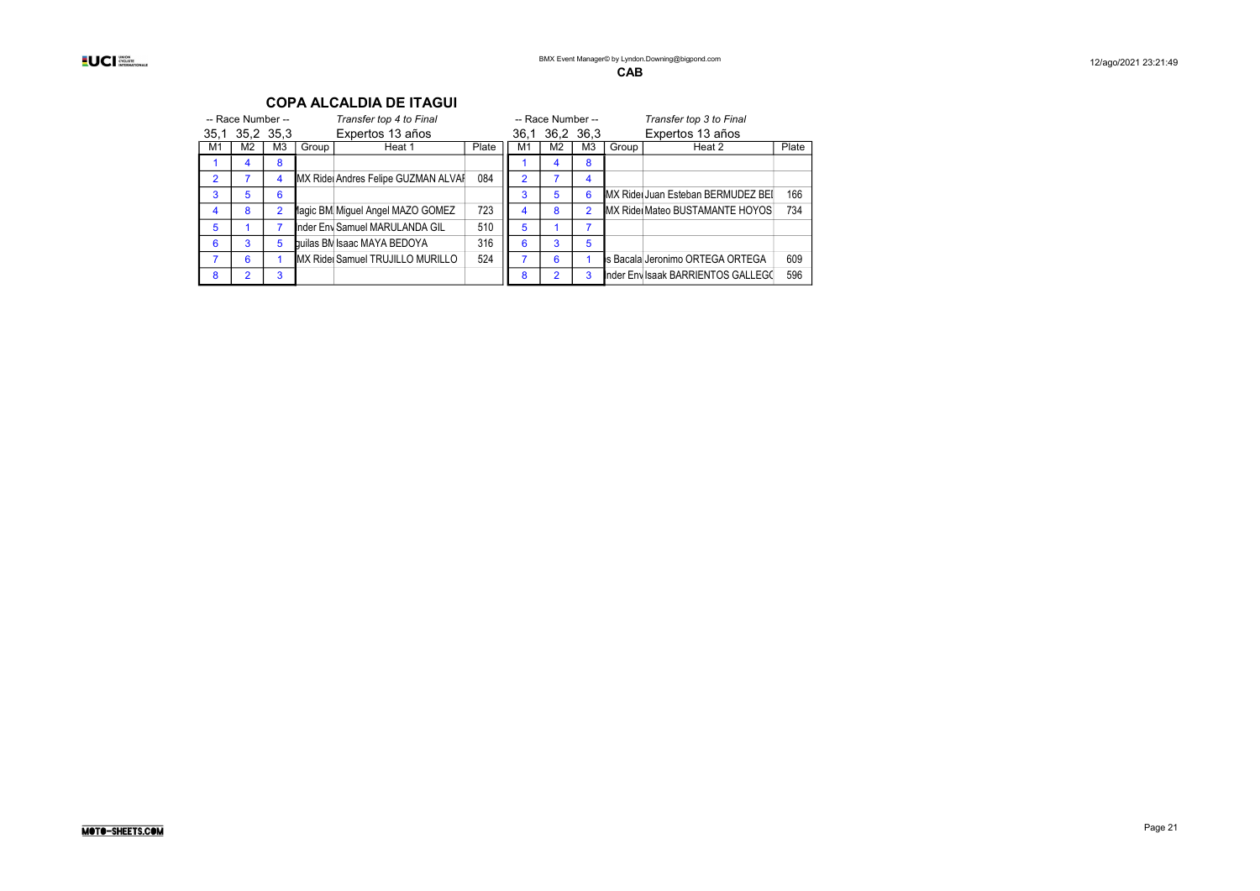|  | <b>INION</b><br>CYCLISTE<br><b>INTERNATIONALE</b> |
|--|---------------------------------------------------|
|--|---------------------------------------------------|

| -- Race Number -- |                |                |       | Transfer top 4 to Final            |       |               | -- Race Number -- |                |       | Transfer top 3 to Final                    |       |
|-------------------|----------------|----------------|-------|------------------------------------|-------|---------------|-------------------|----------------|-------|--------------------------------------------|-------|
|                   | 35.1 35.2 35.3 |                |       | Expertos 13 años                   |       |               | 36.1 36.2 36.3    |                |       | Expertos 13 años                           |       |
| M1                | M <sub>2</sub> | M <sub>3</sub> | Group | Heat 1                             | Plate | M1            | M <sub>2</sub>    | M <sub>3</sub> | Group | Heat 2                                     | Plate |
|                   | 4              | 8              |       |                                    |       |               |                   | 8              |       |                                            |       |
| $\mathcal{P}$     |                | 4              |       | MX Ride Andres Felipe GUZMAN ALVAI | 084   | $\mathcal{P}$ |                   | 4              |       |                                            |       |
| 3                 | 5              | 6              |       |                                    |       |               | 5                 | 6              |       | <b>IMX Ridel Juan Esteban BERMUDEZ BEI</b> | 166   |
| 4                 | 8              | $\overline{2}$ |       | lagic BM Miguel Angel MAZO GOMEZ   | 723   |               | 8                 | $\overline{2}$ |       | <b>MX Ridel Mateo BUSTAMANTE HOYOS</b>     | 734   |
| 5                 |                |                |       | Inder Env Samuel MARULANDA GIL     | 510   | 5             |                   |                |       |                                            |       |
| 6                 | 3              | 5              |       | builas BM Isaac MAYA BEDOYA        | 316   | 6             | 3                 | 5              |       |                                            |       |
|                   | 6              |                |       | MX Ride Samuel TRUJILLO MURILLO    | 524   |               | 6                 |                |       | s Bacala Jeronimo ORTEGA ORTEGA            | 609   |
| 8                 | 2              | 3              |       |                                    |       | 8             |                   | 3              |       | Inder Env Isaak BARRIENTOS GALLEGO         | 596   |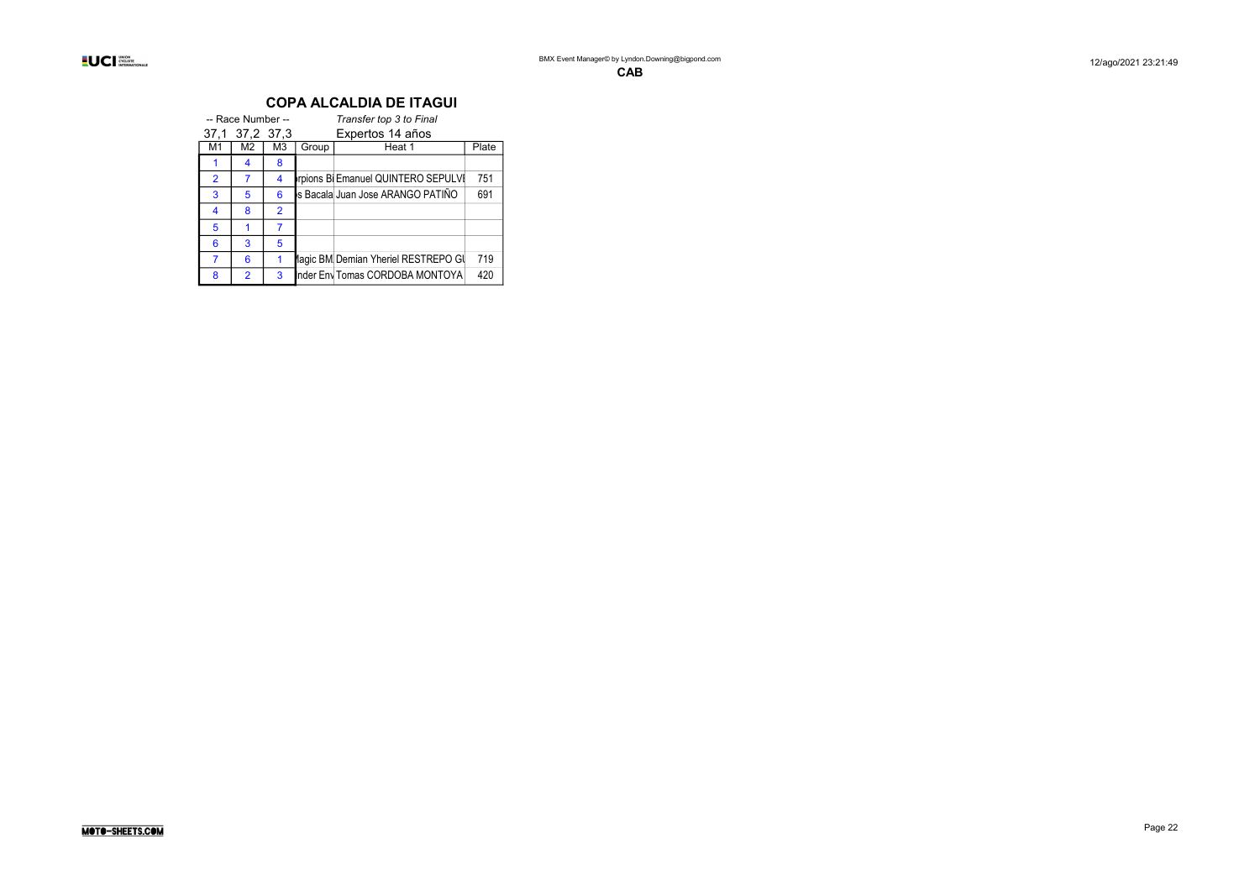|                | -- Race Number -- |                                    |       | Transfer top 3 to Final             |       |  |  |  |
|----------------|-------------------|------------------------------------|-------|-------------------------------------|-------|--|--|--|
|                |                   | Expertos 14 años<br>37.1 37.2 37.3 |       |                                     |       |  |  |  |
| М1             | M2                | M3                                 | Group | Heat 1                              | Plate |  |  |  |
|                | 4                 | 8                                  |       |                                     |       |  |  |  |
| $\overline{2}$ | 7                 | 4                                  |       | rpions Bi Emanuel QUINTERO SEPULVI  | 751   |  |  |  |
| 3              | 5                 | 6                                  |       | ls Bacala Juan Jose ARANGO PATIÑO   | 691   |  |  |  |
| 4              | 8                 | $\overline{2}$                     |       |                                     |       |  |  |  |
| 5              |                   | 7                                  |       |                                     |       |  |  |  |
| 6              | 3                 | 5                                  |       |                                     |       |  |  |  |
|                | 6                 |                                    |       | lagic BM Demian Yheriel RESTREPO GI | 719   |  |  |  |
| 8              | $\overline{2}$    | 3                                  |       | Inder Env Tomas CORDOBA MONTOYA     | 420   |  |  |  |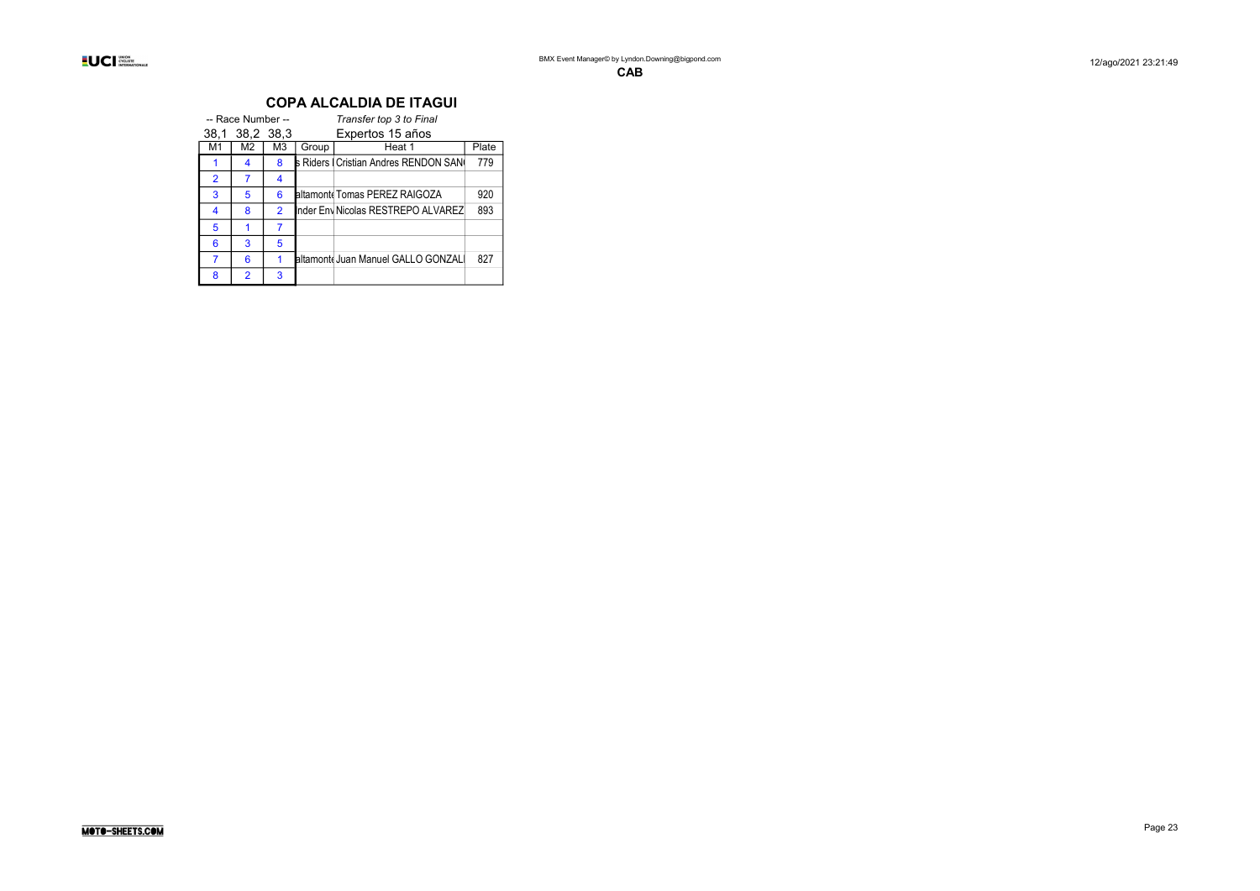|                | -- Race Number -- |                |       | Transfer top 3 to Final               |       |
|----------------|-------------------|----------------|-------|---------------------------------------|-------|
|                | 38,1 38,2 38.3    |                |       | Expertos 15 años                      |       |
| M1             | M2                | M <sub>3</sub> | Group | Heat 1                                | Plate |
|                | 4                 | 8              |       | s Riders   Cristian Andres RENDON SAN | 779   |
| $\overline{2}$ | 7                 | 4              |       |                                       |       |
| 3              | 5                 | 6              |       | altamont Tomas PEREZ RAIGOZA          | 920   |
| 4              | 8                 | $\overline{2}$ |       | Inder Env Nicolas RESTREPO ALVAREZ    | 893   |
| 5              |                   | 7              |       |                                       |       |
| 6              | 3                 | 5              |       |                                       |       |
| 7              | 6                 |                |       | altamont Juan Manuel GALLO GONZAL     | 827   |
| 8              | $\overline{2}$    | 3              |       |                                       |       |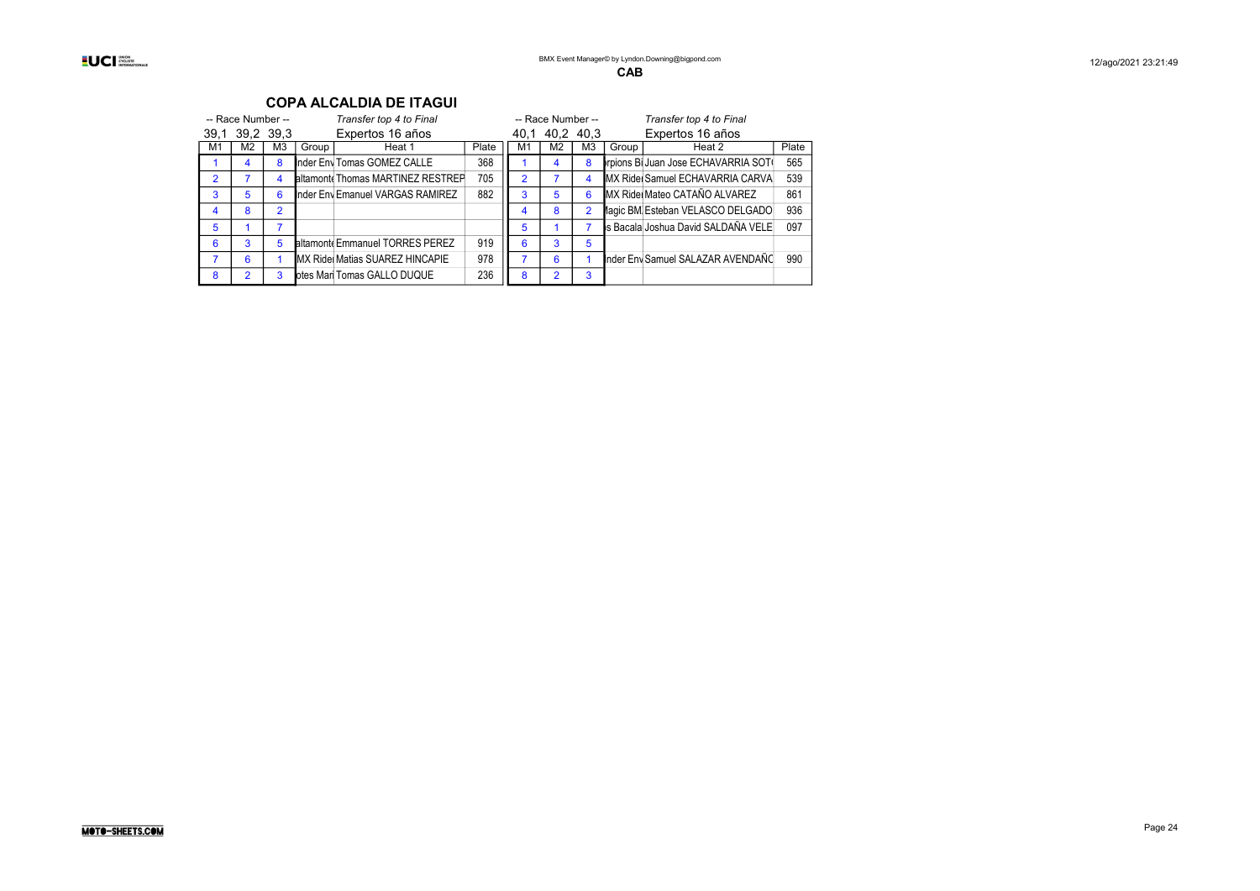#### -- Race Number -- Transfer top 4 to Final -- Race Number -- Transfer top 4 to Final -- Race Number -- Transfer top 4 to Final -- Race Number -- Transfer top 4 to Final -- Race Number -- Transfer top 4 to Final -- 39.1 39,1 39,2 39,3 Expertos 16 años 40,1 40,2 40,3 Expertos 16 años M1 M2 M3 Group Heat 1 Plate M1 M2 M3 Group Heat 2 Plate<br>1 4 8 Inder Fny Tomas GOMEZ CALLE 368 1 4 8 Incins Bi Juan Jose FCHAVARRIA SOT(565 1 4 8 Inder Environmas GOMEZ CALLE 368 1 4 8 Indions Billuan Jose ECHAVARRIA SOTO 2 7 4 altamonte Thomas MARTINEZ RESTREF 705 2 7 4 MX Ridel Samuel ECHAVARRIA CARVA 539 3 5 6 Inder Enviewanuel VARGAS RAMIREZ 882 3 5 6 MX Rider Mateo CATAÑO ALVAREZ 861 4 8 2 Magic BM Esteban VELASCO DELGADO 936 5 1 7 S Bacala Joshua David SALDAÑA VELE 097 6 3 5 SaltamontesEmmanuel TORRES PEREZ 919 6 3 5 7 6 1 MX Ride Matias SUAREZ HINCAPIE 978 1 7 6 1 Inder Envisamuel SALAZAR AVENDAÑO 990 8 2 3 otes Mari Tomas GALLO DUQUE 236 8 2 3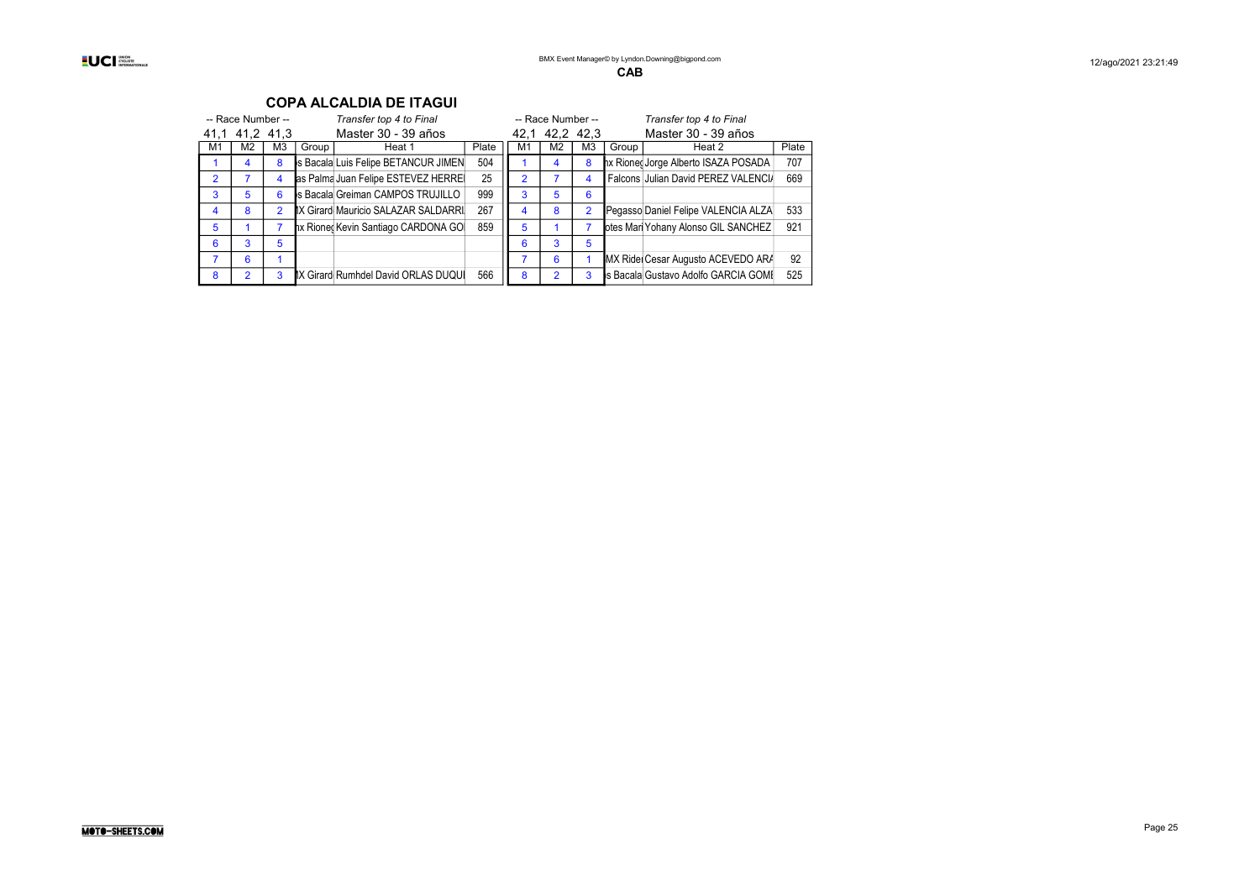|    | -- Race Number -- |                | Transfer top 4 to Final |                                     |       |               | -- Race Number -- |                |       | Transfer top 4 to Final              |       |
|----|-------------------|----------------|-------------------------|-------------------------------------|-------|---------------|-------------------|----------------|-------|--------------------------------------|-------|
|    | 41.1 41.2 41.3    |                |                         | Master 30 - 39 años                 |       |               | 42.1 42.2 42.3    |                |       | Master 30 - 39 años                  |       |
| M1 | M2                | M <sub>3</sub> | Group                   | Heat 1                              | Plate | M1            | M <sub>2</sub>    | M <sub>3</sub> | Group | Heat 2                               | Plate |
|    | 4                 | 8              |                         | s Bacala Luis Felipe BETANCUR JIMEN | 504   |               | 4                 | 8              |       | hx Rioneg Jorge Alberto ISAZA POSADA | 707   |
| 2  |                   | 4              |                         | as Palma Juan Felipe ESTEVEZ HERRE  | 25    | $\mathcal{P}$ |                   | 4              |       | Falcons Julian David PEREZ VALENCIA  | 669   |
| 3  | 5                 | 6              |                         | s Bacala Greiman CAMPOS TRUJILLO    | 999   | 3             | 5                 | 6              |       |                                      |       |
| 4  | 8                 | $\overline{2}$ |                         | IX Girard Mauricio SALAZAR SALDARRI | 267   | 4             | 8                 | $\overline{2}$ |       | Pegasso Daniel Felipe VALENCIA ALZA  | 533   |
| 5  |                   |                |                         | hx Rioned Kevin Santiago CARDONA GO | 859   | 5             |                   |                |       | otes Mari Yohany Alonso GIL SANCHEZ  | 921   |
| 6  | 3                 | 5              |                         |                                     |       | 6             | 3                 | 5              |       |                                      |       |
|    | 6                 |                |                         |                                     |       |               | 6                 |                |       | MX Ride Cesar Augusto ACEVEDO ARA    | 92    |
| 8  | 2                 | 3              |                         | IX Girard Rumhdel David ORLAS DUQUI | 566   | 8             | $\mathcal{P}$     | 3              |       | s Bacala Gustavo Adolfo GARCIA GOME  | 525   |